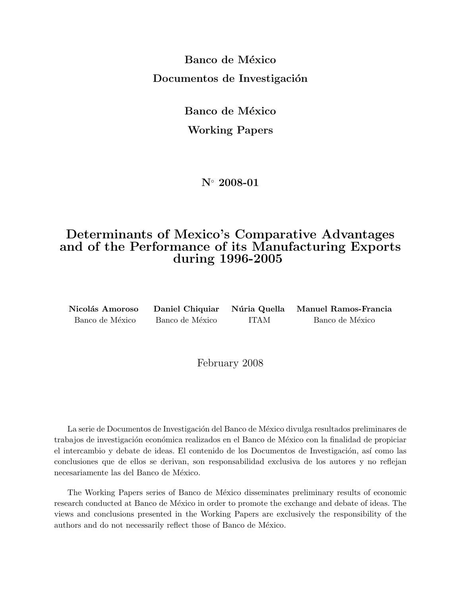# Banco de México Documentos de Investigación

Banco de México Working Papers

N◦ 2008-01

## Determinants of Mexico's Comparative Advantages and of the Performance of its Manufacturing Exports during 1996-2005

Nicolás Amoroso Daniel Chiquiar Núria Quella Manuel Ramos-Francia Banco de México Banco de México ITAM Banco de México

February 2008

La serie de Documentos de Investigación del Banco de México divulga resultados preliminares de trabajos de investigación económica realizados en el Banco de México con la finalidad de propiciar el intercambio y debate de ideas. El contenido de los Documentos de Investigación, así como las conclusiones que de ellos se derivan, son responsabilidad exclusiva de los autores y no reflejan necesariamente las del Banco de México.

The Working Papers series of Banco de México disseminates preliminary results of economic research conducted at Banco de México in order to promote the exchange and debate of ideas. The views and conclusions presented in the Working Papers are exclusively the responsibility of the authors and do not necessarily reflect those of Banco de México.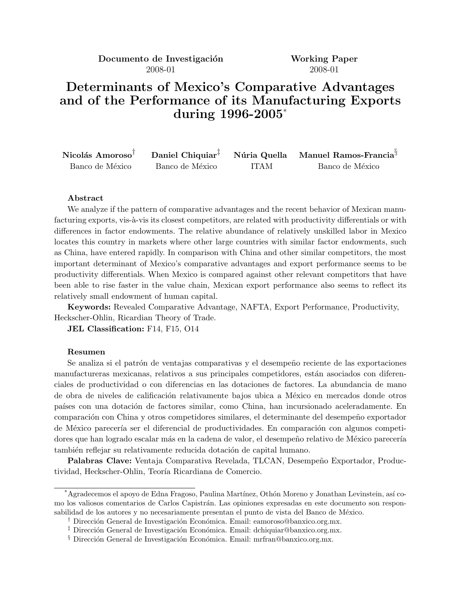## Determinants of Mexico's Comparative Advantages and of the Performance of its Manufacturing Exports during 1996-2005\*

| Nicolás Amoroso <sup>†</sup> | Daniel Chiquiar $^{\ddagger}$ |       | Núria Quella Manuel Ramos-Francia <sup>§</sup> |
|------------------------------|-------------------------------|-------|------------------------------------------------|
| Banco de México              | Banco de México               | ITA M | Banco de México                                |

#### Abstract

We analyze if the pattern of comparative advantages and the recent behavior of Mexican manufacturing exports, vis-à-vis its closest competitors, are related with productivity differentials or with differences in factor endowments. The relative abundance of relatively unskilled labor in Mexico locates this country in markets where other large countries with similar factor endowments, such as China, have entered rapidly. In comparison with China and other similar competitors, the most important determinant of Mexico's comparative advantages and export performance seems to be productivity differentials. When Mexico is compared against other relevant competitors that have been able to rise faster in the value chain, Mexican export performance also seems to reflect its relatively small endowment of human capital.

Keywords: Revealed Comparative Advantage, NAFTA, Export Performance, Productivity, Heckscher-Ohlin, Ricardian Theory of Trade.

JEL Classification: F14, F15, O14

#### Resumen

Se analiza si el patrón de ventajas comparativas y el desempeño reciente de las exportaciones manufactureras mexicanas, relativos a sus principales competidores, están asociados con diferenciales de productividad o con diferencias en las dotaciones de factores. La abundancia de mano de obra de niveles de calificación relativamente bajos ubica a México en mercados donde otros países con una dotación de factores similar, como China, han incursionado aceleradamente. En comparación con China y otros competidores similares, el determinante del desempeño exportador de México parecería ser el diferencial de productividades. En comparación con algunos competidores que han logrado escalar más en la cadena de valor, el desempeño relativo de México parecería también reflejar su relativamente reducida dotación de capital humano.

Palabras Clave: Ventaja Comparativa Revelada, TLCAN, Desempeño Exportador, Productividad, Heckscher-Ohlin, Teoría Ricardiana de Comercio.

<sup>\*</sup>Agradecemos el apoyo de Edna Fragoso, Paulina Mart´ınez, Oth´on Moreno y Jonathan Levinstein, as´ı como los valiosos comentarios de Carlos Capistrán. Las opiniones expresadas en este documento son responsabilidad de los autores y no necesariamente presentan el punto de vista del Banco de México.

<sup>&</sup>lt;sup>†</sup> Dirección General de Investigación Económica. Email: eamoroso@banxico.org.mx.

<sup>&</sup>lt;sup> $\ddagger$ </sup> Dirección General de Investigación Económica. Email: dchiquiar@banxico.org.mx.

 $\delta$  Dirección General de Investigación Económica. Email: mrfran@banxico.org.mx.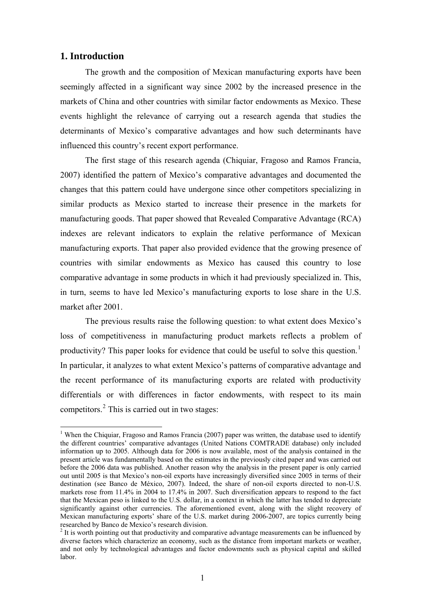#### **1. Introduction**

 $\overline{a}$ 

The growth and the composition of Mexican manufacturing exports have been seemingly affected in a significant way since 2002 by the increased presence in the markets of China and other countries with similar factor endowments as Mexico. These events highlight the relevance of carrying out a research agenda that studies the determinants of Mexico's comparative advantages and how such determinants have influenced this country's recent export performance.

The first stage of this research agenda (Chiquiar, Fragoso and Ramos Francia, 2007) identified the pattern of Mexico's comparative advantages and documented the changes that this pattern could have undergone since other competitors specializing in similar products as Mexico started to increase their presence in the markets for manufacturing goods. That paper showed that Revealed Comparative Advantage (RCA) indexes are relevant indicators to explain the relative performance of Mexican manufacturing exports. That paper also provided evidence that the growing presence of countries with similar endowments as Mexico has caused this country to lose comparative advantage in some products in which it had previously specialized in. This, in turn, seems to have led Mexico's manufacturing exports to lose share in the U.S. market after 2001.

The previous results raise the following question: to what extent does Mexico's loss of competitiveness in manufacturing product markets reflects a problem of productivity? This paper looks for evidence that could be useful to solve this question.<sup>[1](#page-2-0)</sup> In particular, it analyzes to what extent Mexico's patterns of comparative advantage and the recent performance of its manufacturing exports are related with productivity differentials or with differences in factor endowments, with respect to its main competitors.<sup>[2](#page-2-1)</sup> This is carried out in two stages:

<span id="page-2-0"></span><sup>&</sup>lt;sup>1</sup> When the Chiquiar, Fragoso and Ramos Francia (2007) paper was written, the database used to identify the different countries' comparative advantages (United Nations COMTRADE database) only included information up to 2005. Although data for 2006 is now available, most of the analysis contained in the present article was fundamentally based on the estimates in the previously cited paper and was carried out before the 2006 data was published. Another reason why the analysis in the present paper is only carried out until 2005 is that Mexico's non-oil exports have increasingly diversified since 2005 in terms of their destination (see Banco de México, 2007). Indeed, the share of non-oil exports directed to non-U.S. markets rose from 11.4% in 2004 to 17.4% in 2007. Such diversification appears to respond to the fact that the Mexican peso is linked to the U.S. dollar, in a context in which the latter has tended to depreciate significantly against other currencies. The aforementioned event, along with the slight recovery of Mexican manufacturing exports' share of the U.S. market during 2006-2007, are topics currently being researched by Banco de Mexico's research division.

<span id="page-2-1"></span> $2$  It is worth pointing out that productivity and comparative advantage measurements can be influenced by diverse factors which characterize an economy, such as the distance from important markets or weather, and not only by technological advantages and factor endowments such as physical capital and skilled labor.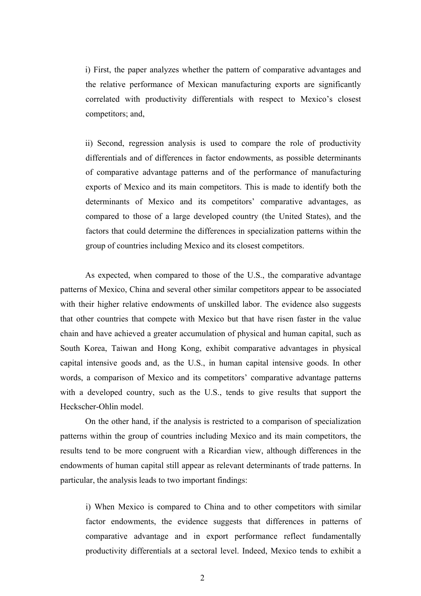i) First, the paper analyzes whether the pattern of comparative advantages and the relative performance of Mexican manufacturing exports are significantly correlated with productivity differentials with respect to Mexico's closest competitors; and,

ii) Second, regression analysis is used to compare the role of productivity differentials and of differences in factor endowments, as possible determinants of comparative advantage patterns and of the performance of manufacturing exports of Mexico and its main competitors. This is made to identify both the determinants of Mexico and its competitors' comparative advantages, as compared to those of a large developed country (the United States), and the factors that could determine the differences in specialization patterns within the group of countries including Mexico and its closest competitors.

As expected, when compared to those of the U.S., the comparative advantage patterns of Mexico, China and several other similar competitors appear to be associated with their higher relative endowments of unskilled labor. The evidence also suggests that other countries that compete with Mexico but that have risen faster in the value chain and have achieved a greater accumulation of physical and human capital, such as South Korea, Taiwan and Hong Kong, exhibit comparative advantages in physical capital intensive goods and, as the U.S., in human capital intensive goods. In other words, a comparison of Mexico and its competitors' comparative advantage patterns with a developed country, such as the U.S., tends to give results that support the Heckscher-Ohlin model.

On the other hand, if the analysis is restricted to a comparison of specialization patterns within the group of countries including Mexico and its main competitors, the results tend to be more congruent with a Ricardian view, although differences in the endowments of human capital still appear as relevant determinants of trade patterns. In particular, the analysis leads to two important findings:

i) When Mexico is compared to China and to other competitors with similar factor endowments, the evidence suggests that differences in patterns of comparative advantage and in export performance reflect fundamentally productivity differentials at a sectoral level. Indeed, Mexico tends to exhibit a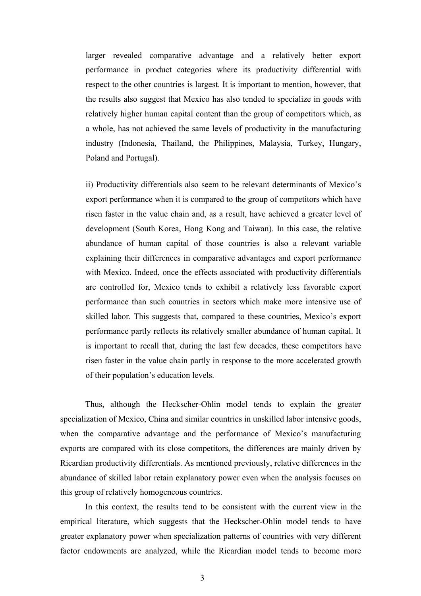larger revealed comparative advantage and a relatively better export performance in product categories where its productivity differential with respect to the other countries is largest. It is important to mention, however, that the results also suggest that Mexico has also tended to specialize in goods with relatively higher human capital content than the group of competitors which, as a whole, has not achieved the same levels of productivity in the manufacturing industry (Indonesia, Thailand, the Philippines, Malaysia, Turkey, Hungary, Poland and Portugal).

ii) Productivity differentials also seem to be relevant determinants of Mexico's export performance when it is compared to the group of competitors which have risen faster in the value chain and, as a result, have achieved a greater level of development (South Korea, Hong Kong and Taiwan). In this case, the relative abundance of human capital of those countries is also a relevant variable explaining their differences in comparative advantages and export performance with Mexico. Indeed, once the effects associated with productivity differentials are controlled for, Mexico tends to exhibit a relatively less favorable export performance than such countries in sectors which make more intensive use of skilled labor. This suggests that, compared to these countries, Mexico's export performance partly reflects its relatively smaller abundance of human capital. It is important to recall that, during the last few decades, these competitors have risen faster in the value chain partly in response to the more accelerated growth of their population's education levels.

Thus, although the Heckscher-Ohlin model tends to explain the greater specialization of Mexico, China and similar countries in unskilled labor intensive goods, when the comparative advantage and the performance of Mexico's manufacturing exports are compared with its close competitors, the differences are mainly driven by Ricardian productivity differentials. As mentioned previously, relative differences in the abundance of skilled labor retain explanatory power even when the analysis focuses on this group of relatively homogeneous countries.

In this context, the results tend to be consistent with the current view in the empirical literature, which suggests that the Heckscher-Ohlin model tends to have greater explanatory power when specialization patterns of countries with very different factor endowments are analyzed, while the Ricardian model tends to become more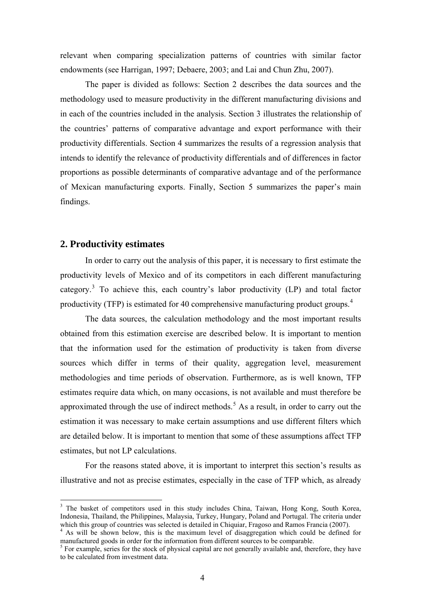<span id="page-5-0"></span>relevant when comparing specialization patterns of countries with similar factor endowments (see Harrigan, 1997; Debaere, 2003; and Lai and Chun Zhu, 2007).

The paper is divided as follows: Section 2 describes the data sources and the methodology used to measure productivity in the different manufacturing divisions and in each of the countries included in the analysis. Section 3 illustrates the relationship of the countries' patterns of comparative advantage and export performance with their productivity differentials. Section 4 summarizes the results of a regression analysis that intends to identify the relevance of productivity differentials and of differences in factor proportions as possible determinants of comparative advantage and of the performance of Mexican manufacturing exports. Finally, Section 5 summarizes the paper's main findings.

#### **2. Productivity estimates**

 $\overline{a}$ 

In order to carry out the analysis of this paper, it is necessary to first estimate the productivity levels of Mexico and of its competitors in each different manufacturing category.<sup>[3](#page-5-0)</sup> To achieve this, each country's labor productivity (LP) and total factor productivity (TFP) is estimated for [4](#page-5-0)0 comprehensive manufacturing product groups.<sup>4</sup>

The data sources, the calculation methodology and the most important results obtained from this estimation exercise are described below. It is important to mention that the information used for the estimation of productivity is taken from diverse sources which differ in terms of their quality, aggregation level, measurement methodologies and time periods of observation. Furthermore, as is well known, TFP estimates require data which, on many occasions, is not available and must therefore be approximated through the use of indirect methods.<sup>[5](#page-5-0)</sup> As a result, in order to carry out the estimation it was necessary to make certain assumptions and use different filters which are detailed below. It is important to mention that some of these assumptions affect TFP estimates, but not LP calculations.

For the reasons stated above, it is important to interpret this section's results as illustrative and not as precise estimates, especially in the case of TFP which, as already

<sup>&</sup>lt;sup>3</sup> The basket of competitors used in this study includes China, Taiwan, Hong Kong, South Korea, Indonesia, Thailand, the Philippines, Malaysia, Turkey, Hungary, Poland and Portugal. The criteria under which this group of countries was selected is detailed in Chiquiar, Fragoso and Ramos Francia (2007).

<sup>4</sup> As will be shown below, this is the maximum level of disaggregation which could be defined for manufactured goods in order for the information from different sources to be comparable.

<sup>&</sup>lt;sup>5</sup> For example, series for the stock of physical capital are not generally available and, therefore, they have to be calculated from investment data.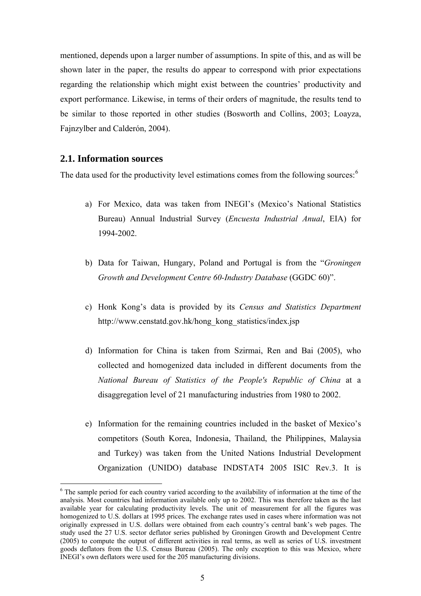<span id="page-6-0"></span>mentioned, depends upon a larger number of assumptions. In spite of this, and as will be shown later in the paper, the results do appear to correspond with prior expectations regarding the relationship which might exist between the countries' productivity and export performance. Likewise, in terms of their orders of magnitude, the results tend to be similar to those reported in other studies (Bosworth and Collins, 2003; Loayza, Fajnzylber and Calderón, 2004).

#### **2.1. Information sources**

 $\overline{a}$ 

The data used for the productivity level estimations comes from the following sources:<sup>[6](#page-6-0)</sup>

- a) For Mexico, data was taken from INEGI's (Mexico's National Statistics Bureau) Annual Industrial Survey (*Encuesta Industrial Anual*, EIA) for 1994-2002.
- b) Data for Taiwan, Hungary, Poland and Portugal is from the "*Groningen Growth and Development Centre 60-Industry Database* (GGDC 60)".
- c) Honk Kong's data is provided by its *Census and Statistics Department* http://www.censtatd.gov.hk/hong\_kong\_statistics/index.jsp
- d) Information for China is taken from Szirmai, Ren and Bai (2005), who collected and homogenized data included in different documents from the *National Bureau of Statistics of the People's Republic of China* at a disaggregation level of 21 manufacturing industries from 1980 to 2002.
- e) Information for the remaining countries included in the basket of Mexico's competitors (South Korea, Indonesia, Thailand, the Philippines, Malaysia and Turkey) was taken from the United Nations Industrial Development Organization (UNIDO) database INDSTAT4 2005 ISIC Rev.3. It is

<sup>&</sup>lt;sup>6</sup> The sample period for each country varied according to the availability of information at the time of the analysis. Most countries had information available only up to 2002. This was therefore taken as the last available year for calculating productivity levels. The unit of measurement for all the figures was homogenized to U.S. dollars at 1995 prices. The exchange rates used in cases where information was not originally expressed in U.S. dollars were obtained from each country's central bank's web pages. The study used the 27 U.S. sector deflator series published by Groningen Growth and Development Centre (2005) to compute the output of different activities in real terms, as well as series of U.S. investment goods deflators from the U.S. Census Bureau (2005). The only exception to this was Mexico, where INEGI's own deflators were used for the 205 manufacturing divisions.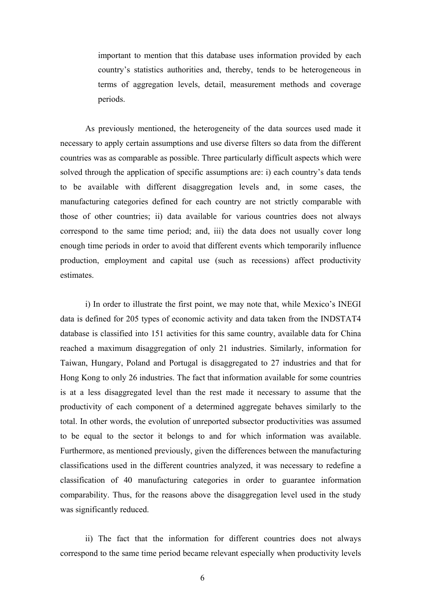important to mention that this database uses information provided by each country's statistics authorities and, thereby, tends to be heterogeneous in terms of aggregation levels, detail, measurement methods and coverage periods.

As previously mentioned, the heterogeneity of the data sources used made it necessary to apply certain assumptions and use diverse filters so data from the different countries was as comparable as possible. Three particularly difficult aspects which were solved through the application of specific assumptions are: i) each country's data tends to be available with different disaggregation levels and, in some cases, the manufacturing categories defined for each country are not strictly comparable with those of other countries; ii) data available for various countries does not always correspond to the same time period; and, iii) the data does not usually cover long enough time periods in order to avoid that different events which temporarily influence production, employment and capital use (such as recessions) affect productivity estimates.

i) In order to illustrate the first point, we may note that, while Mexico's INEGI data is defined for 205 types of economic activity and data taken from the INDSTAT4 database is classified into 151 activities for this same country, available data for China reached a maximum disaggregation of only 21 industries. Similarly, information for Taiwan, Hungary, Poland and Portugal is disaggregated to 27 industries and that for Hong Kong to only 26 industries. The fact that information available for some countries is at a less disaggregated level than the rest made it necessary to assume that the productivity of each component of a determined aggregate behaves similarly to the total. In other words, the evolution of unreported subsector productivities was assumed to be equal to the sector it belongs to and for which information was available. Furthermore, as mentioned previously, given the differences between the manufacturing classifications used in the different countries analyzed, it was necessary to redefine a classification of 40 manufacturing categories in order to guarantee information comparability. Thus, for the reasons above the disaggregation level used in the study was significantly reduced.

ii) The fact that the information for different countries does not always correspond to the same time period became relevant especially when productivity levels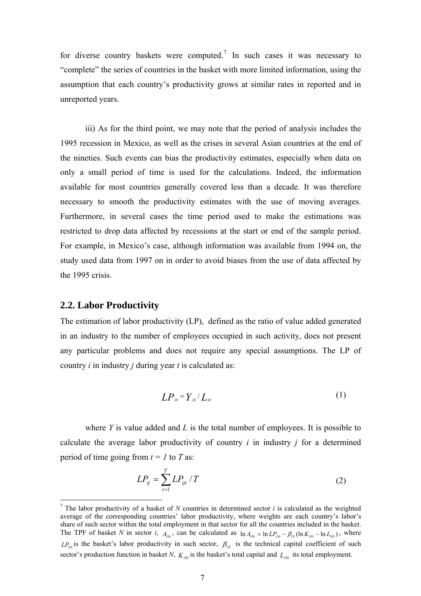<span id="page-8-0"></span>for diverse country baskets were computed.<sup>[7](#page-8-0)</sup> In such cases it was necessary to "complete" the series of countries in the basket with more limited information, using the assumption that each country's productivity grows at similar rates in reported and in unreported years.

iii) As for the third point, we may note that the period of analysis includes the 1995 recession in Mexico, as well as the crises in several Asian countries at the end of the nineties. Such events can bias the productivity estimates, especially when data on only a small period of time is used for the calculations. Indeed, the information available for most countries generally covered less than a decade. It was therefore necessary to smooth the productivity estimates with the use of moving averages. Furthermore, in several cases the time period used to make the estimations was restricted to drop data affected by recessions at the start or end of the sample period. For example, in Mexico's case, although information was available from 1994 on, the study used data from 1997 on in order to avoid biases from the use of data affected by the 1995 crisis.

#### **2.2. Labor Productivity**

 $\overline{a}$ 

The estimation of labor productivity (LP), defined as the ratio of value added generated in an industry to the number of employees occupied in such activity, does not present any particular problems and does not require any special assumptions. The LP of country *i* in industry *j* during year *t* is calculated as:

$$
LP_{ijt} = Y_{ijt} / L_{ijt} \tag{1}
$$

where *Y* is value added and *L* is the total number of employees. It is possible to calculate the average labor productivity of country  $i$  in industry  $j$  for a determined period of time going from  $t = I$  to T as:

$$
LP_{ij} = \sum_{t=1}^{T} LP_{ijt} / T
$$
 (2)

<sup>&</sup>lt;sup>7</sup> The labor productivity of a basket of *N* countries in determined sector *i* is calculated as the weighted average of the corresponding countries' labor productivity, where weights are each country's labor's share of such sector within the total employment in that sector for all the countries included in the basket. The TPF of basket *N* in sector *i*,  $A_{iNt}$ , can be calculated as  $\ln A_{iNt} = \ln LP_{iNt} - \beta_{iN} (\ln K_{iNt} - \ln L_{iNt})$ , where  $LP_{iM}$  is the basket's labor productivity in such sector,  $\beta_{iN}$  is the technical capital coefficient of such sector's production function in basket *N*,  $K_{iN}$  is the basket's total capital and  $L_{iNt}$  its total employment.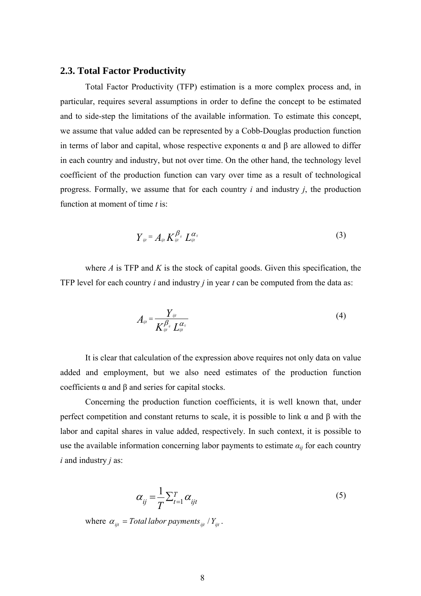#### **2.3. Total Factor Productivity**

Total Factor Productivity (TFP) estimation is a more complex process and, in particular, requires several assumptions in order to define the concept to be estimated and to side-step the limitations of the available information. To estimate this concept, we assume that value added can be represented by a Cobb-Douglas production function in terms of labor and capital, whose respective exponents α and β are allowed to differ in each country and industry, but not over time. On the other hand, the technology level coefficient of the production function can vary over time as a result of technological progress. Formally, we assume that for each country *i* and industry *j*, the production function at moment of time *t* is:

$$
Y_{ijt} = A_{ijt} K_{ijt}^{\beta_{ij}} L_{ijt}^{\alpha_{ij}} \tag{3}
$$

where *A* is TFP and *K* is the stock of capital goods. Given this specification, the TFP level for each country *i* and industry *j* in year *t* can be computed from the data as:

$$
A_{ij} = \frac{Y_{ij}}{K_{ij}^{\beta_{ij}} L_{ij}^{\alpha_{ij}}} \tag{4}
$$

It is clear that calculation of the expression above requires not only data on value added and employment, but we also need estimates of the production function coefficients α and β and series for capital stocks.

Concerning the production function coefficients, it is well known that, under perfect competition and constant returns to scale, it is possible to link  $\alpha$  and  $\beta$  with the labor and capital shares in value added, respectively. In such context, it is possible to use the available information concerning labor payments to estimate  $a_{ij}$  for each country *i* and industry *j* as:

$$
\alpha_{ij} = \frac{1}{T} \sum_{t=1}^{T} \alpha_{ijt} \tag{5}
$$

where  $\alpha_{ii}$  = *Total labor payments*  $i_{ii}$  /  $Y_{ii}$ .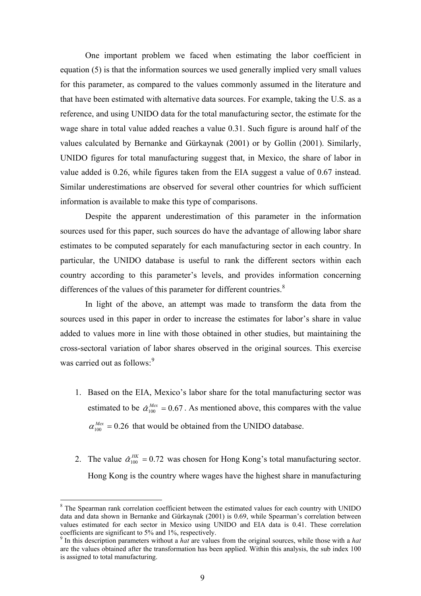<span id="page-10-0"></span>One important problem we faced when estimating the labor coefficient in equation (5) is that the information sources we used generally implied very small values for this parameter, as compared to the values commonly assumed in the literature and that have been estimated with alternative data sources. For example, taking the U.S. as a reference, and using UNIDO data for the total manufacturing sector, the estimate for the wage share in total value added reaches a value 0.31. Such figure is around half of the values calculated by Bernanke and Gürkaynak (2001) or by Gollin (2001). Similarly, UNIDO figures for total manufacturing suggest that, in Mexico, the share of labor in value added is 0.26, while figures taken from the EIA suggest a value of 0.67 instead. Similar underestimations are observed for several other countries for which sufficient information is available to make this type of comparisons.

Despite the apparent underestimation of this parameter in the information sources used for this paper, such sources do have the advantage of allowing labor share estimates to be computed separately for each manufacturing sector in each country. In particular, the UNIDO database is useful to rank the different sectors within each country according to this parameter's levels, and provides information concerning differences of the values of this parameter for different countries.<sup>[8](#page-10-0)</sup>

In light of the above, an attempt was made to transform the data from the sources used in this paper in order to increase the estimates for labor's share in value added to values more in line with those obtained in other studies, but maintaining the cross-sectoral variation of labor shares observed in the original sources. This exercise was carried out as follows:<sup>[9](#page-10-0)</sup>

- 1. Based on the EIA, Mexico's labor share for the total manufacturing sector was estimated to be  $\hat{\alpha}_{100}^{Mex} = 0.67$ . As mentioned above, this compares with the value  $\alpha_{100}^{Mex} = 0.26$  that would be obtained from the UNIDO database.
- 2. The value  $\hat{\alpha}_{100}^{HK} = 0.72$  was chosen for Hong Kong's total manufacturing sector. Hong Kong is the country where wages have the highest share in manufacturing

 $\overline{a}$ 

<sup>&</sup>lt;sup>8</sup> The Spearman rank correlation coefficient between the estimated values for each country with UNIDO data and data shown in Bernanke and Gürkaynak (2001) is 0.69, while Spearman's correlation between values estimated for each sector in Mexico using UNIDO and EIA data is 0.41. These correlation coefficients are significant to 5% and 1%, respectively.

<sup>&</sup>lt;sup>9</sup> In this description parameters without a *hat* are values from the original sources, while those with a *hat* are the values obtained after the transformation has been applied. Within this analysis, the sub index 100 is assigned to total manufacturing.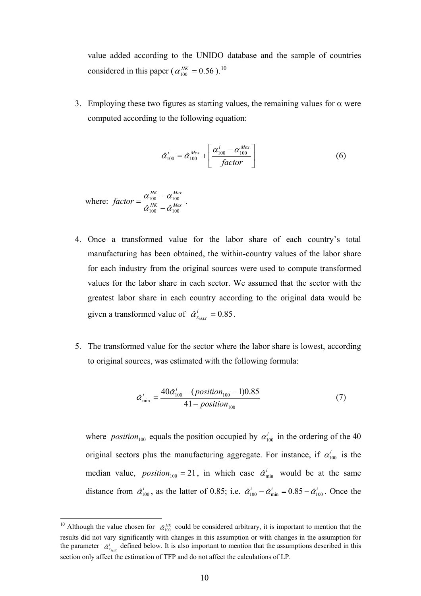<span id="page-11-0"></span>value added according to the UNIDO database and the sample of countries considered in this paper ( $\alpha_{100}^{HK} = 0.56$  $\alpha_{100}^{HK} = 0.56$  $\alpha_{100}^{HK} = 0.56$ ). <sup>10</sup>

3. Employing these two figures as starting values, the remaining values for  $\alpha$  were computed according to the following equation:

$$
\hat{\alpha}_{100}^i = \hat{\alpha}_{100}^{Mex} + \left[ \frac{\alpha_{100}^i - \alpha_{100}^{Mex}}{factor} \right] \tag{6}
$$

where:  $factor = \frac{\alpha_{100}}{AHK} = \frac{\alpha_{100}}{A/k}$ *HK Mex factor* 100  $u_{100}$ 100  $u_{100}$  $\hat{\alpha}_{100}^{\,\rm HK} - \hat{\alpha}$  $\alpha_{\rm{100}} - \alpha$ −  $=\frac{\alpha_{100}^{HK}-\alpha_{100}^{Mex}}{M}$ .

 $\overline{a}$ 

- 4. Once a transformed value for the labor share of each country's total manufacturing has been obtained, the within-country values of the labor share for each industry from the original sources were used to compute transformed values for the labor share in each sector. We assumed that the sector with the greatest labor share in each country according to the original data would be given a transformed value of  $\hat{\alpha}_{x_{MAX}}^i = 0.85$ .
- 5. The transformed value for the sector where the labor share is lowest, according to original sources, was estimated with the following formula:

$$
\hat{\alpha}_{\min}^i = \frac{40\hat{\alpha}_{100}^i - (position_{100} - 1)0.85}{41 - position_{100}}
$$
\n(7)

where *position*<sub>100</sub> equals the position occupied by  $\alpha_{100}^i$  in the ordering of the 40 original sectors plus the manufacturing aggregate. For instance, if  $\alpha_{100}^i$  is the median value, *position*<sub>100</sub> = 21, in which case  $\hat{\alpha}_{min}^i$  would be at the same distance from  $\hat{\alpha}_{100}^i$ , as the latter of 0.85; i.e.  $\hat{\alpha}_{100}^i - \hat{\alpha}_{min}^i = 0.85 - \hat{\alpha}_{100}^i$ . Once the

<sup>&</sup>lt;sup>10</sup> Although the value chosen for  $\alpha_{100}^{HK}$  could be considered arbitrary, it is important to mention that the results did not vary significantly with changes in this assumption or with changes in the assumption for the parameter  $\hat{\alpha}_{x_{\text{MAX}}}^{i}$  defined below. It is also important to mention that the assumptions described in this section only affect the estimation of TFP and do not affect the calculations of LP.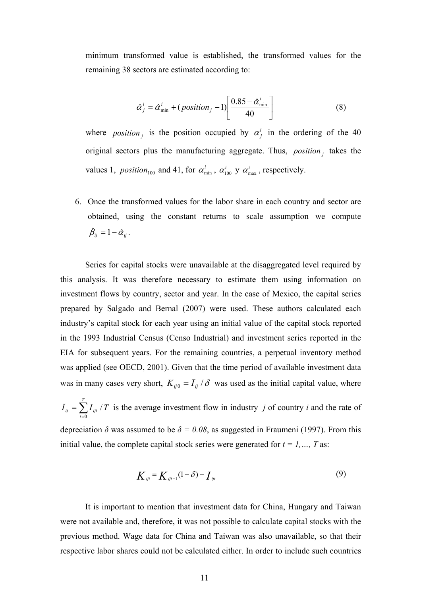minimum transformed value is established, the transformed values for the remaining 38 sectors are estimated according to:

$$
\hat{\alpha}_j^i = \hat{\alpha}_{\min}^i + (position_j - 1) \left[ \frac{0.85 - \hat{\alpha}_{\min}^i}{40} \right]
$$
 (8)

where *position* is the position occupied by  $\alpha_j^i$  in the ordering of the 40 original sectors plus the manufacturing aggregate. Thus,  $position_j$  takes the values 1, *position*<sub>100</sub> and 41, for  $\alpha_{\min}^i$ ,  $\alpha_{100}^i$  y  $\alpha_{\max}^i$ , respectively.

6. Once the transformed values for the labor share in each country and sector are obtained, using the constant returns to scale assumption we compute  $\hat{\beta}_{ii} = 1 - \hat{\alpha}_{ii}$ .

Series for capital stocks were unavailable at the disaggregated level required by this analysis. It was therefore necessary to estimate them using information on investment flows by country, sector and year. In the case of Mexico, the capital series prepared by Salgado and Bernal (2007) were used. These authors calculated each industry's capital stock for each year using an initial value of the capital stock reported in the 1993 Industrial Census (Censo Industrial) and investment series reported in the EIA for subsequent years. For the remaining countries, a perpetual inventory method was applied (see OECD, 2001). Given that the time period of available investment data was in many cases very short,  $K_{ij0} = \overline{I}_{ij} / \delta$  was used as the initial capital value, where

 $I_{ii} = \sum I_{ii} / T$ *T t*  $I_{ij}$  =  $\sum I_{ijt}$  /  $=\sum_{t=0} I_{ijt} / T$  is the average investment flow in industry *j* of country *i* and the rate of depreciation  $\delta$  was assumed to be  $\delta = 0.08$ , as suggested in Fraumeni (1997). From this initial value, the complete capital stock series were generated for  $t = 1, ..., T$  as:

$$
K_{ijt} = K_{ijt-1}(1-\delta) + I_{ijt}
$$
 (9)

It is important to mention that investment data for China, Hungary and Taiwan were not available and, therefore, it was not possible to calculate capital stocks with the previous method. Wage data for China and Taiwan was also unavailable, so that their respective labor shares could not be calculated either. In order to include such countries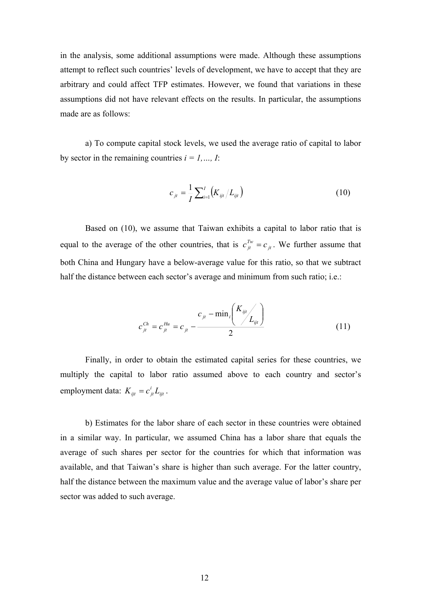in the analysis, some additional assumptions were made. Although these assumptions attempt to reflect such countries' levels of development, we have to accept that they are arbitrary and could affect TFP estimates. However, we found that variations in these assumptions did not have relevant effects on the results. In particular, the assumptions made are as follows:

a) To compute capital stock levels, we used the average ratio of capital to labor by sector in the remaining countries  $i = 1, \dots, I$ :

$$
c_{j_t} = \frac{1}{I} \sum_{i=1}^{I} \left( K_{ijt} / L_{ijt} \right) \tag{10}
$$

Based on (10), we assume that Taiwan exhibits a capital to labor ratio that is equal to the average of the other countries, that is  $c_{ji}^{Tw} = c_{ji}$ . We further assume that both China and Hungary have a below-average value for this ratio, so that we subtract half the distance between each sector's average and minimum from such ratio; i.e.:  $c^{Tw}_{jt} = c$ 

$$
c_{jt}^{Ch} = c_{jt}^{Hu} = c_{jt} - \frac{c_{jt} - \min_i \left( \frac{K_{ijt}}{L_{ijt}} \right)}{2} \tag{11}
$$

Finally, in order to obtain the estimated capital series for these countries, we multiply the capital to labor ratio assumed above to each country and sector's employment data:  $K_{ijt} = c_{jt}^{i} L_{ijt}$ .

b) Estimates for the labor share of each sector in these countries were obtained in a similar way. In particular, we assumed China has a labor share that equals the average of such shares per sector for the countries for which that information was available, and that Taiwan's share is higher than such average. For the latter country, half the distance between the maximum value and the average value of labor's share per sector was added to such average.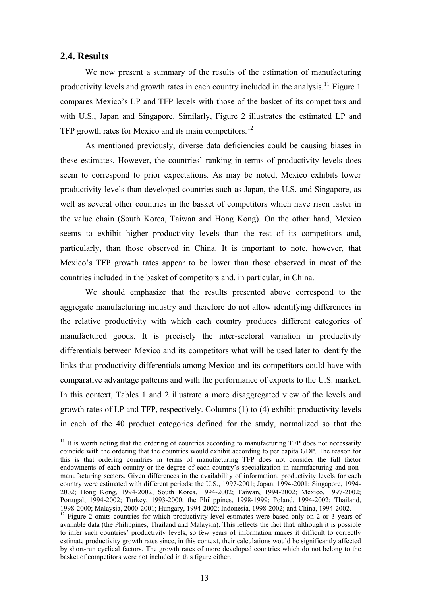#### <span id="page-14-0"></span>**2.4. Results**

 $\overline{a}$ 

We now present a summary of the results of the estimation of manufacturing productivity levels and growth rates in each country included in the analysis.<sup>[11](#page-14-0)</sup> Figure 1 compares Mexico's LP and TFP levels with those of the basket of its competitors and with U.S., Japan and Singapore. Similarly, Figure 2 illustrates the estimated LP and TFP growth rates for Mexico and its main competitors.<sup>[12](#page-14-0)</sup>

As mentioned previously, diverse data deficiencies could be causing biases in these estimates. However, the countries' ranking in terms of productivity levels does seem to correspond to prior expectations. As may be noted, Mexico exhibits lower productivity levels than developed countries such as Japan, the U.S. and Singapore, as well as several other countries in the basket of competitors which have risen faster in the value chain (South Korea, Taiwan and Hong Kong). On the other hand, Mexico seems to exhibit higher productivity levels than the rest of its competitors and, particularly, than those observed in China. It is important to note, however, that Mexico's TFP growth rates appear to be lower than those observed in most of the countries included in the basket of competitors and, in particular, in China.

We should emphasize that the results presented above correspond to the aggregate manufacturing industry and therefore do not allow identifying differences in the relative productivity with which each country produces different categories of manufactured goods. It is precisely the inter-sectoral variation in productivity differentials between Mexico and its competitors what will be used later to identify the links that productivity differentials among Mexico and its competitors could have with comparative advantage patterns and with the performance of exports to the U.S. market. In this context, Tables 1 and 2 illustrate a more disaggregated view of the levels and growth rates of LP and TFP, respectively. Columns (1) to (4) exhibit productivity levels in each of the 40 product categories defined for the study, normalized so that the

 $11$  It is worth noting that the ordering of countries according to manufacturing TFP does not necessarily coincide with the ordering that the countries would exhibit according to per capita GDP. The reason for this is that ordering countries in terms of manufacturing TFP does not consider the full factor endowments of each country or the degree of each country's specialization in manufacturing and nonmanufacturing sectors. Given differences in the availability of information, productivity levels for each country were estimated with different periods: the U.S., 1997-2001; Japan, 1994-2001; Singapore, 1994- 2002; Hong Kong, 1994-2002; South Korea, 1994-2002; Taiwan, 1994-2002; Mexico, 1997-2002; Portugal, 1994-2002; Turkey, 1993-2000; the Philippines, 1998-1999; Poland, 1994-2002; Thailand, 1998-2000; Malaysia, 2000-2001; Hungary, 1994-2002; Indonesia, 1998-2002; and China, 1994-2002.

<sup>&</sup>lt;sup>12</sup> Figure 2 omits countries for which productivity level estimates were based only on 2 or 3 years of available data (the Philippines, Thailand and Malaysia). This reflects the fact that, although it is possible to infer such countries' productivity levels, so few years of information makes it difficult to correctly estimate productivity growth rates since, in this context, their calculations would be significantly affected by short-run cyclical factors. The growth rates of more developed countries which do not belong to the basket of competitors were not included in this figure either.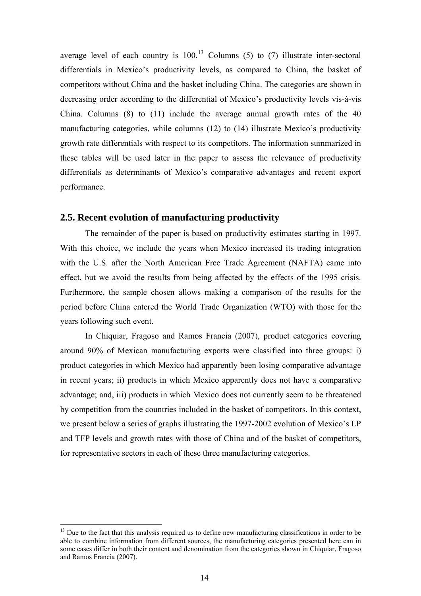<span id="page-15-0"></span>average level of each country is  $100<sup>13</sup>$  $100<sup>13</sup>$  $100<sup>13</sup>$  Columns (5) to (7) illustrate inter-sectoral differentials in Mexico's productivity levels, as compared to China, the basket of competitors without China and the basket including China. The categories are shown in decreasing order according to the differential of Mexico's productivity levels vis-á-vis China. Columns (8) to (11) include the average annual growth rates of the 40 manufacturing categories, while columns (12) to (14) illustrate Mexico's productivity growth rate differentials with respect to its competitors. The information summarized in these tables will be used later in the paper to assess the relevance of productivity differentials as determinants of Mexico's comparative advantages and recent export performance.

#### **2.5. Recent evolution of manufacturing productivity**

The remainder of the paper is based on productivity estimates starting in 1997. With this choice, we include the years when Mexico increased its trading integration with the U.S. after the North American Free Trade Agreement (NAFTA) came into effect, but we avoid the results from being affected by the effects of the 1995 crisis. Furthermore, the sample chosen allows making a comparison of the results for the period before China entered the World Trade Organization (WTO) with those for the years following such event.

In Chiquiar, Fragoso and Ramos Francia (2007), product categories covering around 90% of Mexican manufacturing exports were classified into three groups: i) product categories in which Mexico had apparently been losing comparative advantage in recent years; ii) products in which Mexico apparently does not have a comparative advantage; and, iii) products in which Mexico does not currently seem to be threatened by competition from the countries included in the basket of competitors. In this context, we present below a series of graphs illustrating the 1997-2002 evolution of Mexico's LP and TFP levels and growth rates with those of China and of the basket of competitors, for representative sectors in each of these three manufacturing categories.

 $\overline{a}$ 

<sup>&</sup>lt;sup>13</sup> Due to the fact that this analysis required us to define new manufacturing classifications in order to be able to combine information from different sources, the manufacturing categories presented here can in some cases differ in both their content and denomination from the categories shown in Chiquiar, Fragoso and Ramos Francia (2007).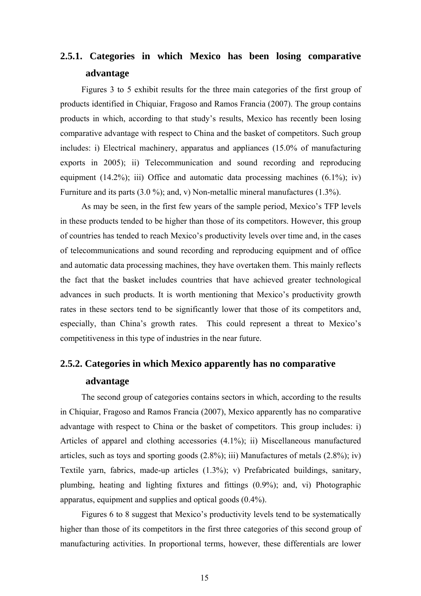# **2.5.1. Categories in which Mexico has been losing comparative advantage**

Figures 3 to 5 exhibit results for the three main categories of the first group of products identified in Chiquiar, Fragoso and Ramos Francia (2007). The group contains products in which, according to that study's results, Mexico has recently been losing comparative advantage with respect to China and the basket of competitors. Such group includes: i) Electrical machinery, apparatus and appliances (15.0% of manufacturing exports in 2005); ii) Telecommunication and sound recording and reproducing equipment (14.2%); iii) Office and automatic data processing machines  $(6.1\%)$ ; iv) Furniture and its parts (3.0 %); and, v) Non-metallic mineral manufactures (1.3%).

As may be seen, in the first few years of the sample period, Mexico's TFP levels in these products tended to be higher than those of its competitors. However, this group of countries has tended to reach Mexico's productivity levels over time and, in the cases of telecommunications and sound recording and reproducing equipment and of office and automatic data processing machines, they have overtaken them. This mainly reflects the fact that the basket includes countries that have achieved greater technological advances in such products. It is worth mentioning that Mexico's productivity growth rates in these sectors tend to be significantly lower that those of its competitors and, especially, than China's growth rates. This could represent a threat to Mexico's competitiveness in this type of industries in the near future.

## **2.5.2. Categories in which Mexico apparently has no comparative advantage**

The second group of categories contains sectors in which, according to the results in Chiquiar, Fragoso and Ramos Francia (2007), Mexico apparently has no comparative advantage with respect to China or the basket of competitors. This group includes: i) Articles of apparel and clothing accessories (4.1%); ii) Miscellaneous manufactured articles, such as toys and sporting goods (2.8%); iii) Manufactures of metals (2.8%); iv) Textile yarn, fabrics, made-up articles (1.3%); v) Prefabricated buildings, sanitary, plumbing, heating and lighting fixtures and fittings (0.9%); and, vi) Photographic apparatus, equipment and supplies and optical goods (0.4%).

Figures 6 to 8 suggest that Mexico's productivity levels tend to be systematically higher than those of its competitors in the first three categories of this second group of manufacturing activities. In proportional terms, however, these differentials are lower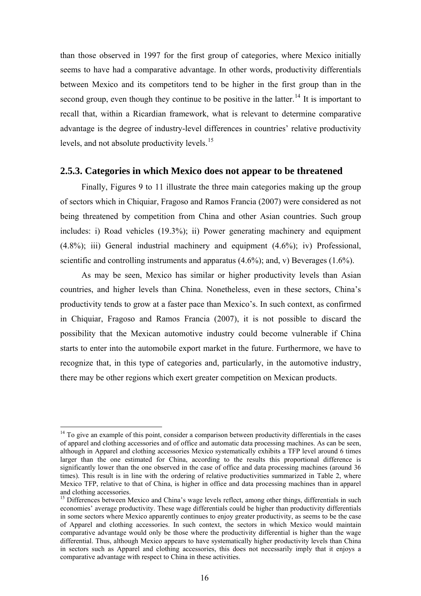<span id="page-17-0"></span>than those observed in 1997 for the first group of categories, where Mexico initially seems to have had a comparative advantage. In other words, productivity differentials between Mexico and its competitors tend to be higher in the first group than in the second group, even though they continue to be positive in the latter.<sup>[14](#page-17-0)</sup> It is important to recall that, within a Ricardian framework, what is relevant to determine comparative advantage is the degree of industry-level differences in countries' relative productivity levels, and not absolute productivity levels.<sup>[15](#page-17-0)</sup>

#### **2.5.3. Categories in which Mexico does not appear to be threatened**

Finally, Figures 9 to 11 illustrate the three main categories making up the group of sectors which in Chiquiar, Fragoso and Ramos Francia (2007) were considered as not being threatened by competition from China and other Asian countries. Such group includes: i) Road vehicles (19.3%); ii) Power generating machinery and equipment (4.8%); iii) General industrial machinery and equipment (4.6%); iv) Professional, scientific and controlling instruments and apparatus  $(4.6\%)$ ; and, v) Beverages  $(1.6\%)$ .

As may be seen, Mexico has similar or higher productivity levels than Asian countries, and higher levels than China. Nonetheless, even in these sectors, China's productivity tends to grow at a faster pace than Mexico's. In such context, as confirmed in Chiquiar, Fragoso and Ramos Francia (2007), it is not possible to discard the possibility that the Mexican automotive industry could become vulnerable if China starts to enter into the automobile export market in the future. Furthermore, we have to recognize that, in this type of categories and, particularly, in the automotive industry, there may be other regions which exert greater competition on Mexican products.

 $\overline{a}$ 

 $14$  To give an example of this point, consider a comparison between productivity differentials in the cases of apparel and clothing accessories and of office and automatic data processing machines. As can be seen, although in Apparel and clothing accessories Mexico systematically exhibits a TFP level around 6 times larger than the one estimated for China, according to the results this proportional difference is significantly lower than the one observed in the case of office and data processing machines (around 36 times). This result is in line with the ordering of relative productivities summarized in Table 2, where Mexico TFP, relative to that of China, is higher in office and data processing machines than in apparel

 $15$  Differences between Mexico and China's wage levels reflect, among other things, differentials in such economies' average productivity. These wage differentials could be higher than productivity differentials in some sectors where Mexico apparently continues to enjoy greater productivity, as seems to be the case of Apparel and clothing accessories. In such context, the sectors in which Mexico would maintain comparative advantage would only be those where the productivity differential is higher than the wage differential. Thus, although Mexico appears to have systematically higher productivity levels than China in sectors such as Apparel and clothing accessories, this does not necessarily imply that it enjoys a comparative advantage with respect to China in these activities.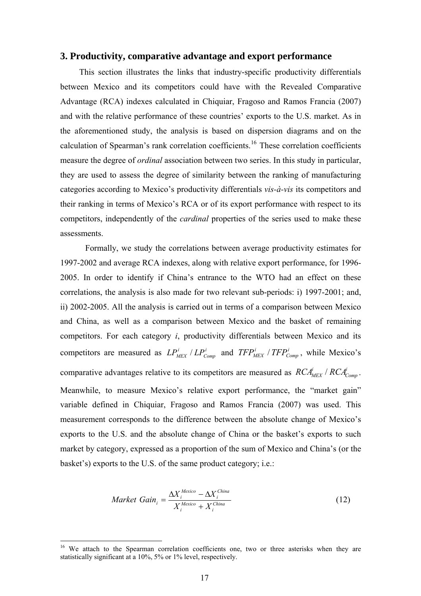#### <span id="page-18-0"></span>**3. Productivity, comparative advantage and export performance**

This section illustrates the links that industry-specific productivity differentials between Mexico and its competitors could have with the Revealed Comparative Advantage (RCA) indexes calculated in Chiquiar, Fragoso and Ramos Francia (2007) and with the relative performance of these countries' exports to the U.S. market. As in the aforementioned study, the analysis is based on dispersion diagrams and on the calculation of Spearman's rank correlation coefficients.<sup>[16](#page-18-0)</sup> These correlation coefficients measure the degree of *ordinal* association between two series. In this study in particular, they are used to assess the degree of similarity between the ranking of manufacturing categories according to Mexico's productivity differentials *vis-à-vis* its competitors and their ranking in terms of Mexico's RCA or of its export performance with respect to its competitors, independently of the *cardinal* properties of the series used to make these assessments.

Formally, we study the correlations between average productivity estimates for 1997-2002 and average RCA indexes, along with relative export performance, for 1996- 2005. In order to identify if China's entrance to the WTO had an effect on these correlations, the analysis is also made for two relevant sub-periods: i) 1997-2001; and, ii) 2002-2005. All the analysis is carried out in terms of a comparison between Mexico and China, as well as a comparison between Mexico and the basket of remaining competitors. For each category *i*, productivity differentials between Mexico and its competitors are measured as  $LP_{MEX}^i / LP_{Comm}^i$  and  $TFP_{MEX}^i / TFP_{Comm}^i$ , while Mexico's comparative advantages relative to its competitors are measured as  $RCA_{MEX}^i / RCA_{Comm}^i$ . Meanwhile, to measure Mexico's relative export performance, the "market gain" variable defined in Chiquiar, Fragoso and Ramos Francia (2007) was used. This measurement corresponds to the difference between the absolute change of Mexico's exports to the U.S. and the absolute change of China or the basket's exports to such market by category, expressed as a proportion of the sum of Mexico and China's (or the basket's) exports to the U.S. of the same product category; i.e.: *Comp*  $LP_{MEX}^i$  /  $LP_{Comp}^i$  and  $TFP_{MEX}^i$  /  $TFP_{Comp}^i$  $\mathit{RCA}_{\mathit{MEX}}^i$  /  $\mathit{RCA}_{\mathit{Comp}}^i$ 

$$
Market\; Gain_i = \frac{\Delta X_i^{Mexico} - \Delta X_i^{China}}{X_i^{Mexico} + X_i^{China}}
$$
\n(12)

 $\overline{a}$ 

<sup>&</sup>lt;sup>16</sup> We attach to the Spearman correlation coefficients one, two or three asterisks when they are statistically significant at a 10%, 5% or 1% level, respectively.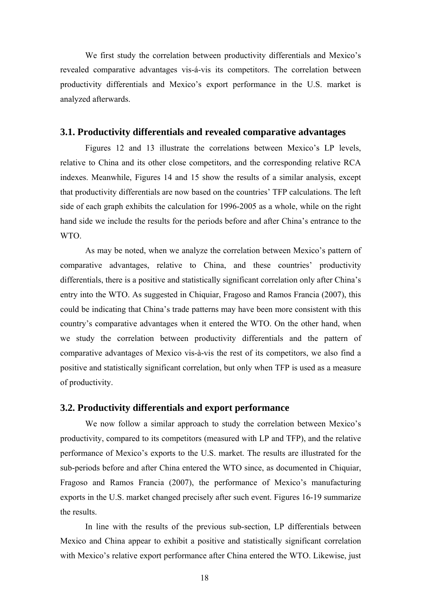We first study the correlation between productivity differentials and Mexico's revealed comparative advantages vis-á-vis its competitors. The correlation between productivity differentials and Mexico's export performance in the U.S. market is analyzed afterwards.

#### **3.1. Productivity differentials and revealed comparative advantages**

Figures 12 and 13 illustrate the correlations between Mexico's LP levels, relative to China and its other close competitors, and the corresponding relative RCA indexes. Meanwhile, Figures 14 and 15 show the results of a similar analysis, except that productivity differentials are now based on the countries' TFP calculations. The left side of each graph exhibits the calculation for 1996-2005 as a whole, while on the right hand side we include the results for the periods before and after China's entrance to the WTO.

As may be noted, when we analyze the correlation between Mexico's pattern of comparative advantages, relative to China, and these countries' productivity differentials, there is a positive and statistically significant correlation only after China's entry into the WTO. As suggested in Chiquiar, Fragoso and Ramos Francia (2007), this could be indicating that China's trade patterns may have been more consistent with this country's comparative advantages when it entered the WTO. On the other hand, when we study the correlation between productivity differentials and the pattern of comparative advantages of Mexico vis-à-vis the rest of its competitors, we also find a positive and statistically significant correlation, but only when TFP is used as a measure of productivity.

#### **3.2. Productivity differentials and export performance**

We now follow a similar approach to study the correlation between Mexico's productivity, compared to its competitors (measured with LP and TFP), and the relative performance of Mexico's exports to the U.S. market. The results are illustrated for the sub-periods before and after China entered the WTO since, as documented in Chiquiar, Fragoso and Ramos Francia (2007), the performance of Mexico's manufacturing exports in the U.S. market changed precisely after such event. Figures 16-19 summarize the results.

In line with the results of the previous sub-section, LP differentials between Mexico and China appear to exhibit a positive and statistically significant correlation with Mexico's relative export performance after China entered the WTO. Likewise, just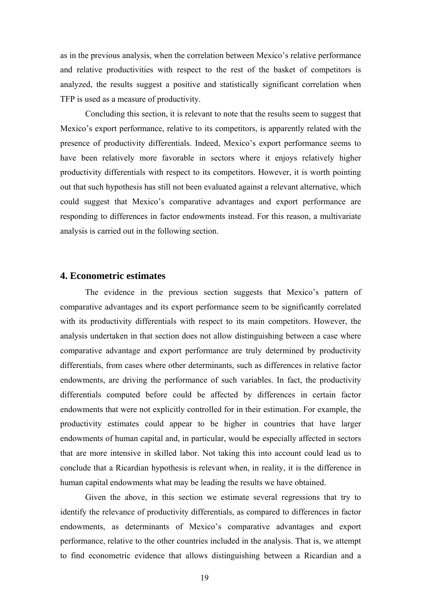as in the previous analysis, when the correlation between Mexico's relative performance and relative productivities with respect to the rest of the basket of competitors is analyzed, the results suggest a positive and statistically significant correlation when TFP is used as a measure of productivity.

Concluding this section, it is relevant to note that the results seem to suggest that Mexico's export performance, relative to its competitors, is apparently related with the presence of productivity differentials. Indeed, Mexico's export performance seems to have been relatively more favorable in sectors where it enjoys relatively higher productivity differentials with respect to its competitors. However, it is worth pointing out that such hypothesis has still not been evaluated against a relevant alternative, which could suggest that Mexico's comparative advantages and export performance are responding to differences in factor endowments instead. For this reason, a multivariate analysis is carried out in the following section.

#### **4. Econometric estimates**

The evidence in the previous section suggests that Mexico's pattern of comparative advantages and its export performance seem to be significantly correlated with its productivity differentials with respect to its main competitors. However, the analysis undertaken in that section does not allow distinguishing between a case where comparative advantage and export performance are truly determined by productivity differentials, from cases where other determinants, such as differences in relative factor endowments, are driving the performance of such variables. In fact, the productivity differentials computed before could be affected by differences in certain factor endowments that were not explicitly controlled for in their estimation. For example, the productivity estimates could appear to be higher in countries that have larger endowments of human capital and, in particular, would be especially affected in sectors that are more intensive in skilled labor. Not taking this into account could lead us to conclude that a Ricardian hypothesis is relevant when, in reality, it is the difference in human capital endowments what may be leading the results we have obtained.

Given the above, in this section we estimate several regressions that try to identify the relevance of productivity differentials, as compared to differences in factor endowments, as determinants of Mexico's comparative advantages and export performance, relative to the other countries included in the analysis. That is, we attempt to find econometric evidence that allows distinguishing between a Ricardian and a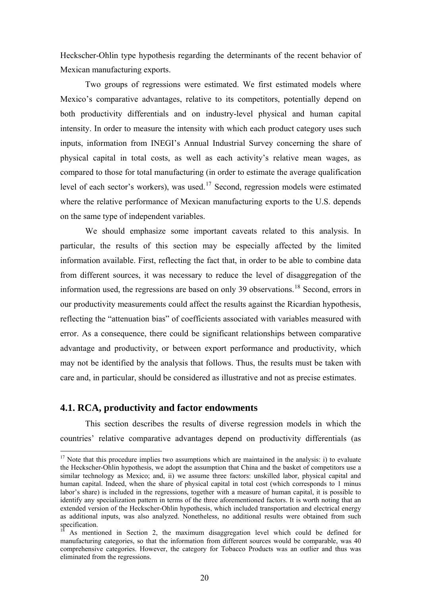<span id="page-21-0"></span>Heckscher-Ohlin type hypothesis regarding the determinants of the recent behavior of Mexican manufacturing exports.

Two groups of regressions were estimated. We first estimated models where Mexico's comparative advantages, relative to its competitors, potentially depend on both productivity differentials and on industry-level physical and human capital intensity. In order to measure the intensity with which each product category uses such inputs, information from INEGI's Annual Industrial Survey concerning the share of physical capital in total costs, as well as each activity's relative mean wages, as compared to those for total manufacturing (in order to estimate the average qualification level of each sector's workers), was used.<sup>[17](#page-21-0)</sup> Second, regression models were estimated where the relative performance of Mexican manufacturing exports to the U.S. depends on the same type of independent variables.

We should emphasize some important caveats related to this analysis. In particular, the results of this section may be especially affected by the limited information available. First, reflecting the fact that, in order to be able to combine data from different sources, it was necessary to reduce the level of disaggregation of the information used, the regressions are based on only 39 observations.<sup>[18](#page-21-0)</sup> Second, errors in our productivity measurements could affect the results against the Ricardian hypothesis, reflecting the "attenuation bias" of coefficients associated with variables measured with error. As a consequence, there could be significant relationships between comparative advantage and productivity, or between export performance and productivity, which may not be identified by the analysis that follows. Thus, the results must be taken with care and, in particular, should be considered as illustrative and not as precise estimates.

### **4.1. RCA, productivity and factor endowments**

 $\overline{a}$ 

This section describes the results of diverse regression models in which the countries' relative comparative advantages depend on productivity differentials (as

 $17$  Note that this procedure implies two assumptions which are maintained in the analysis: i) to evaluate the Heckscher-Ohlin hypothesis, we adopt the assumption that China and the basket of competitors use a similar technology as Mexico; and, ii) we assume three factors: unskilled labor, physical capital and human capital. Indeed, when the share of physical capital in total cost (which corresponds to 1 minus labor's share) is included in the regressions, together with a measure of human capital, it is possible to identify any specialization pattern in terms of the three aforementioned factors. It is worth noting that an extended version of the Heckscher-Ohlin hypothesis, which included transportation and electrical energy as additional inputs, was also analyzed. Nonetheless, no additional results were obtained from such specification.

<sup>18</sup> As mentioned in Section 2, the maximum disaggregation level which could be defined for manufacturing categories, so that the information from different sources would be comparable, was 40 comprehensive categories. However, the category for Tobacco Products was an outlier and thus was eliminated from the regressions.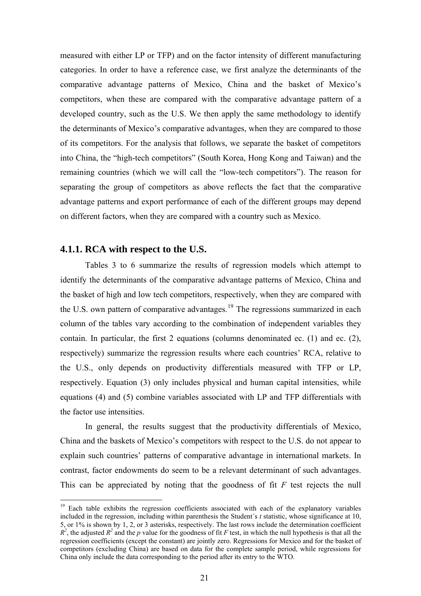<span id="page-22-0"></span>measured with either LP or TFP) and on the factor intensity of different manufacturing categories. In order to have a reference case, we first analyze the determinants of the comparative advantage patterns of Mexico, China and the basket of Mexico's competitors, when these are compared with the comparative advantage pattern of a developed country, such as the U.S. We then apply the same methodology to identify the determinants of Mexico's comparative advantages, when they are compared to those of its competitors. For the analysis that follows, we separate the basket of competitors into China, the "high-tech competitors" (South Korea, Hong Kong and Taiwan) and the remaining countries (which we will call the "low-tech competitors"). The reason for separating the group of competitors as above reflects the fact that the comparative advantage patterns and export performance of each of the different groups may depend on different factors, when they are compared with a country such as Mexico.

#### **4.1.1. RCA with respect to the U.S.**

 $\overline{a}$ 

Tables 3 to 6 summarize the results of regression models which attempt to identify the determinants of the comparative advantage patterns of Mexico, China and the basket of high and low tech competitors, respectively, when they are compared with the U.S. own pattern of comparative advantages.<sup>[19](#page-22-0)</sup> The regressions summarized in each column of the tables vary according to the combination of independent variables they contain. In particular, the first 2 equations (columns denominated ec. (1) and ec. (2), respectively) summarize the regression results where each countries' RCA, relative to the U.S., only depends on productivity differentials measured with TFP or LP, respectively. Equation (3) only includes physical and human capital intensities, while equations (4) and (5) combine variables associated with LP and TFP differentials with the factor use intensities.

In general, the results suggest that the productivity differentials of Mexico, China and the baskets of Mexico's competitors with respect to the U.S. do not appear to explain such countries' patterns of comparative advantage in international markets. In contrast, factor endowments do seem to be a relevant determinant of such advantages. This can be appreciated by noting that the goodness of fit *F* test rejects the null

 $19$  Each table exhibits the regression coefficients associated with each of the explanatory variables included in the regression, including within parenthesis the Student´s *t* statistic, whose significance at 10, 5, or 1% is shown by 1, 2, or 3 asterisks, respectively. The last rows include the determination coefficient  $R^2$ , the adjusted  $R^2$  and the *p* value for the goodness of fit *F* test, in which the null hypothesis is that all the regression coefficients (except the constant) are jointly zero. Regressions for Mexico and for the basket of competitors (excluding China) are based on data for the complete sample period, while regressions for China only include the data corresponding to the period after its entry to the WTO.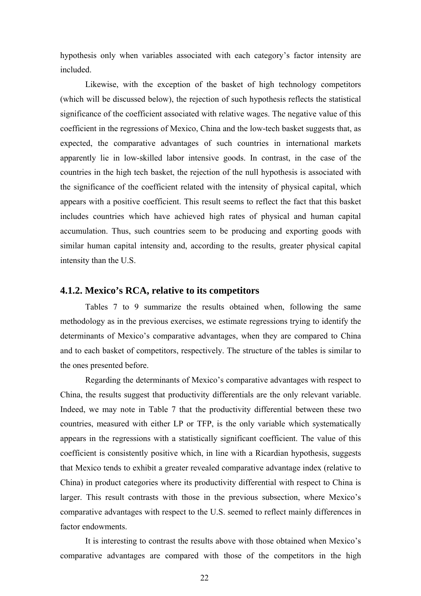hypothesis only when variables associated with each category's factor intensity are included.

Likewise, with the exception of the basket of high technology competitors (which will be discussed below), the rejection of such hypothesis reflects the statistical significance of the coefficient associated with relative wages. The negative value of this coefficient in the regressions of Mexico, China and the low-tech basket suggests that, as expected, the comparative advantages of such countries in international markets apparently lie in low-skilled labor intensive goods. In contrast, in the case of the countries in the high tech basket, the rejection of the null hypothesis is associated with the significance of the coefficient related with the intensity of physical capital, which appears with a positive coefficient. This result seems to reflect the fact that this basket includes countries which have achieved high rates of physical and human capital accumulation. Thus, such countries seem to be producing and exporting goods with similar human capital intensity and, according to the results, greater physical capital intensity than the U.S.

#### **4.1.2. Mexico's RCA, relative to its competitors**

Tables 7 to 9 summarize the results obtained when, following the same methodology as in the previous exercises, we estimate regressions trying to identify the determinants of Mexico's comparative advantages, when they are compared to China and to each basket of competitors, respectively. The structure of the tables is similar to the ones presented before.

Regarding the determinants of Mexico's comparative advantages with respect to China, the results suggest that productivity differentials are the only relevant variable. Indeed, we may note in Table 7 that the productivity differential between these two countries, measured with either LP or TFP, is the only variable which systematically appears in the regressions with a statistically significant coefficient. The value of this coefficient is consistently positive which, in line with a Ricardian hypothesis, suggests that Mexico tends to exhibit a greater revealed comparative advantage index (relative to China) in product categories where its productivity differential with respect to China is larger. This result contrasts with those in the previous subsection, where Mexico's comparative advantages with respect to the U.S. seemed to reflect mainly differences in factor endowments.

It is interesting to contrast the results above with those obtained when Mexico's comparative advantages are compared with those of the competitors in the high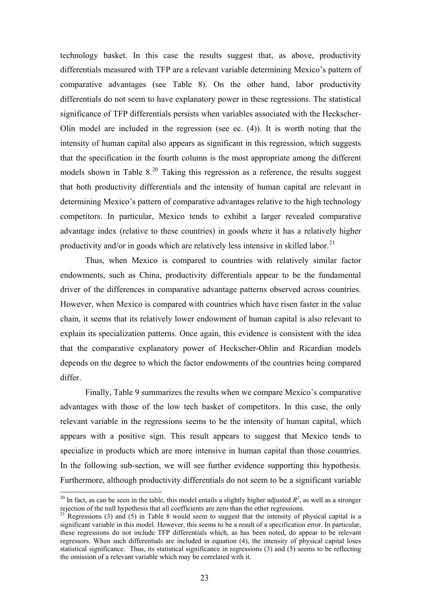<span id="page-24-0"></span>technology basket. In this case the results suggest that, as above, productivity differentials measured with TFP are a relevant variable determining Mexico's pattern of comparative advantages (see Table 8). On the other hand, labor productivity differentials do not seem to have explanatory power in these regressions. The statistical significance of TFP differentials persists when variables associated with the Heckscher-Olin model are included in the regression (see ec. (4)). It is worth noting that the intensity of human capital also appears as significant in this regression, which suggests that the specification in the fourth column is the most appropriate among the different models shown in Table  $8^{20}$  $8^{20}$  $8^{20}$  Taking this regression as a reference, the results suggest that both productivity differentials and the intensity of human capital are relevant in determining Mexico's pattern of comparative advantages relative to the high technology competitors. In particular, Mexico tends to exhibit a larger revealed comparative advantage index (relative to these countries) in goods where it has a relatively higher productivity and/or in goods which are relatively less intensive in skilled labor.<sup>[21](#page-24-0)</sup>

Thus, when Mexico is compared to countries with relatively similar factor endowments, such as China, productivity differentials appear to be the fundamental driver of the differences in comparative advantage patterns observed across countries. However, when Mexico is compared with countries which have risen faster in the value chain, it seems that its relatively lower endowment of human capital is also relevant to explain its specialization patterns. Once again, this evidence is consistent with the idea that the comparative explanatory power of Heckscher-Ohlin and Ricardian models depends on the degree to which the factor endowments of the countries being compared differ.

Finally, Table 9 summarizes the results when we compare Mexico's comparative advantages with those of the low tech basket of competitors. In this case, the only relevant variable in the regressions seems to be the intensity of human capital, which appears with a positive sign. This result appears to suggest that Mexico tends to specialize in products which are more intensive in human capital than those countries. In the following sub-section, we will see further evidence supporting this hypothesis. Furthermore, although productivity differentials do not seem to be a significant variable

 $\overline{a}$ 

<sup>&</sup>lt;sup>20</sup> In fact, as can be seen in the table, this model entails a slightly higher adjusted  $R^2$ , as well as a stronger rejection of the null hypothesis that all coefficients are zero than the other regressions.<br><sup>21</sup> Regressions (3) and (5) in Table 8 would seem to suggest that the intensity of physical capital is a

significant variable in this model. However, this seems to be a result of a specification error. In particular, these regressions do not include TFP differentials which, as has been noted, do appear to be relevant regressors. When such differentials are included in equation (4), the intensity of physical capital loses statistical significance. Thus, its statistical significance in regressions (3) and (5) seems to be reflecting the omission of a relevant variable which may be correlated with it.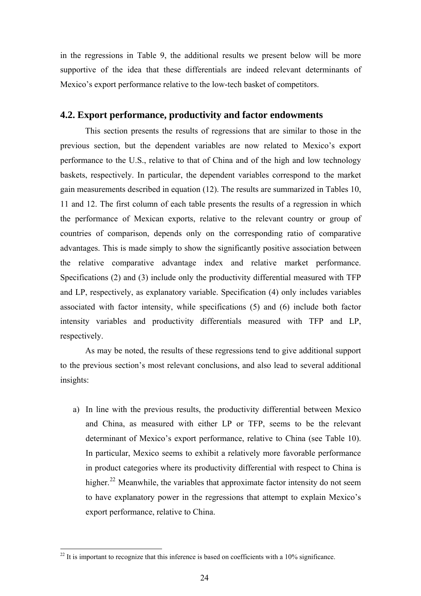<span id="page-25-0"></span>in the regressions in Table 9, the additional results we present below will be more supportive of the idea that these differentials are indeed relevant determinants of Mexico's export performance relative to the low-tech basket of competitors.

#### **4.2. Export performance, productivity and factor endowments**

This section presents the results of regressions that are similar to those in the previous section, but the dependent variables are now related to Mexico's export performance to the U.S., relative to that of China and of the high and low technology baskets, respectively. In particular, the dependent variables correspond to the market gain measurements described in equation (12). The results are summarized in Tables 10, 11 and 12. The first column of each table presents the results of a regression in which the performance of Mexican exports, relative to the relevant country or group of countries of comparison, depends only on the corresponding ratio of comparative advantages. This is made simply to show the significantly positive association between the relative comparative advantage index and relative market performance. Specifications (2) and (3) include only the productivity differential measured with TFP and LP, respectively, as explanatory variable. Specification (4) only includes variables associated with factor intensity, while specifications (5) and (6) include both factor intensity variables and productivity differentials measured with TFP and LP, respectively.

As may be noted, the results of these regressions tend to give additional support to the previous section's most relevant conclusions, and also lead to several additional insights:

a) In line with the previous results, the productivity differential between Mexico and China, as measured with either LP or TFP, seems to be the relevant determinant of Mexico's export performance, relative to China (see Table 10). In particular, Mexico seems to exhibit a relatively more favorable performance in product categories where its productivity differential with respect to China is higher.<sup>[22](#page-25-0)</sup> Meanwhile, the variables that approximate factor intensity do not seem to have explanatory power in the regressions that attempt to explain Mexico's export performance, relative to China.

 $\overline{a}$ 

 $22$  It is important to recognize that this inference is based on coefficients with a 10% significance.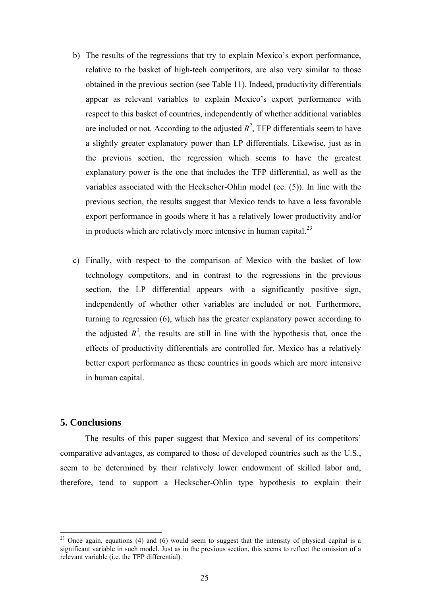- <span id="page-26-0"></span>b) The results of the regressions that try to explain Mexico's export performance, relative to the basket of high-tech competitors, are also very similar to those obtained in the previous section (see Table 11). Indeed, productivity differentials appear as relevant variables to explain Mexico's export performance with respect to this basket of countries, independently of whether additional variables are included or not. According to the adjusted  $R^2$ , TFP differentials seem to have a slightly greater explanatory power than LP differentials. Likewise, just as in the previous section, the regression which seems to have the greatest explanatory power is the one that includes the TFP differential, as well as the variables associated with the Heckscher-Ohlin model (ec. (5)). In line with the previous section, the results suggest that Mexico tends to have a less favorable export performance in goods where it has a relatively lower productivity and/or in products which are relatively more intensive in human capital. $^{23}$  $^{23}$  $^{23}$
- c) Finally, with respect to the comparison of Mexico with the basket of low technology competitors, and in contrast to the regressions in the previous section, the LP differential appears with a significantly positive sign, independently of whether other variables are included or not. Furthermore, turning to regression (6), which has the greater explanatory power according to the adjusted  $R^2$ , the results are still in line with the hypothesis that, once the effects of productivity differentials are controlled for, Mexico has a relatively better export performance as these countries in goods which are more intensive in human capital.

### **5. Conclusions**

 $\overline{a}$ 

The results of this paper suggest that Mexico and several of its competitors' comparative advantages, as compared to those of developed countries such as the U.S., seem to be determined by their relatively lower endowment of skilled labor and, therefore, tend to support a Heckscher-Ohlin type hypothesis to explain their

 $^{23}$  Once again, equations (4) and (6) would seem to suggest that the intensity of physical capital is a significant variable in such model. Just as in the previous section, this seems to reflect the omission of a relevant variable (i.e. the TFP differential).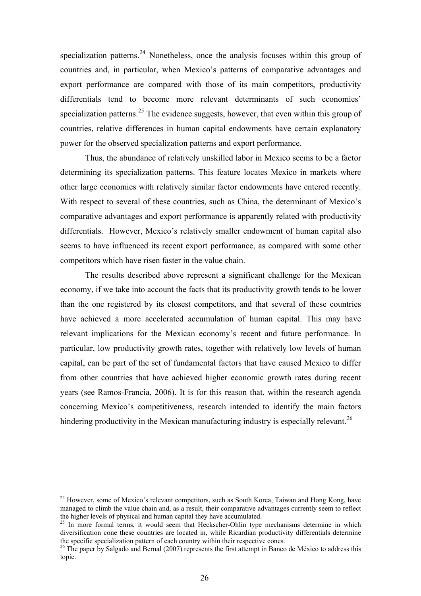<span id="page-27-0"></span>specialization patterns.<sup>[24](#page-27-0)</sup> Nonetheless, once the analysis focuses within this group of countries and, in particular, when Mexico's patterns of comparative advantages and export performance are compared with those of its main competitors, productivity differentials tend to become more relevant determinants of such economies' specialization patterns.<sup>[25](#page-27-0)</sup> The evidence suggests, however, that even within this group of countries, relative differences in human capital endowments have certain explanatory power for the observed specialization patterns and export performance.

Thus, the abundance of relatively unskilled labor in Mexico seems to be a factor determining its specialization patterns. This feature locates Mexico in markets where other large economies with relatively similar factor endowments have entered recently. With respect to several of these countries, such as China, the determinant of Mexico's comparative advantages and export performance is apparently related with productivity differentials. However, Mexico's relatively smaller endowment of human capital also seems to have influenced its recent export performance, as compared with some other competitors which have risen faster in the value chain.

The results described above represent a significant challenge for the Mexican economy, if we take into account the facts that its productivity growth tends to be lower than the one registered by its closest competitors, and that several of these countries have achieved a more accelerated accumulation of human capital. This may have relevant implications for the Mexican economy's recent and future performance. In particular, low productivity growth rates, together with relatively low levels of human capital, can be part of the set of fundamental factors that have caused Mexico to differ from other countries that have achieved higher economic growth rates during recent years (see Ramos-Francia, 2006). It is for this reason that, within the research agenda concerning Mexico's competitiveness, research intended to identify the main factors hindering productivity in the Mexican manufacturing industry is especially relevant.<sup>[26](#page-27-0)</sup>

 $\overline{a}$ 

<sup>&</sup>lt;sup>24</sup> However, some of Mexico's relevant competitors, such as South Korea, Taiwan and Hong Kong, have managed to climb the value chain and, as a result, their comparative advantages currently seem to reflect the higher levels of physical and human capital they have accumulated.

 $25$  In more formal terms, it would seem that Heckscher-Ohlin type mechanisms determine in which diversification cone these countries are located in, while Ricardian productivity differentials determine the specific specialization pattern of each country within their respective cones.<br><sup>26</sup> The paper by Salgado and Bernal (2007) represents the first attempt in Banco de México to address this

topic.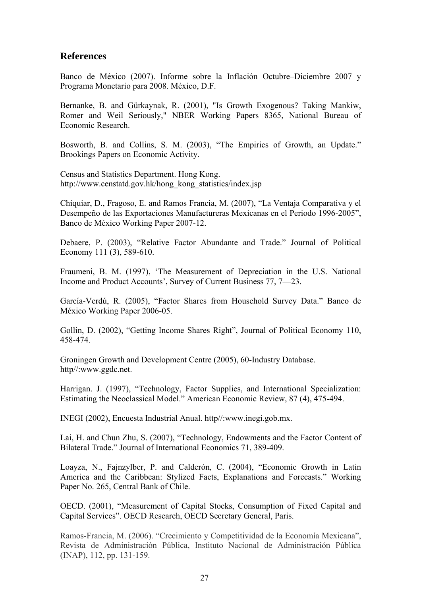## **References**

Banco de México (2007). Informe sobre la Inflación Octubre–Diciembre 2007 y Programa Monetario para 2008. México, D.F.

Bernanke, B. and Gürkaynak, R. (2001), "Is Growth Exogenous? Taking Mankiw, Romer and Weil Seriously," NBER Working Papers 8365, National Bureau of Economic Research.

Bosworth, B. and Collins, S. M. (2003), "The Empirics of Growth, an Update." Brookings Papers on Economic Activity.

Census and Statistics Department. Hong Kong. http://www.censtatd.gov.hk/hong\_kong\_statistics/index.jsp

Chiquiar, D., Fragoso, E. and Ramos Francia, M. (2007), "La Ventaja Comparativa y el Desempeño de las Exportaciones Manufactureras Mexicanas en el Periodo 1996-2005", Banco de México Working Paper 2007-12.

Debaere, P. (2003), "Relative Factor Abundante and Trade." Journal of Political Economy 111 (3), 589-610.

Fraumeni, B. M. (1997), 'The Measurement of Depreciation in the U.S. National Income and Product Accounts', Survey of Current Business 77, 7—23.

García-Verdú, R. (2005), "Factor Shares from Household Survey Data." Banco de México Working Paper 2006-05.

Gollin, D. (2002), "Getting Income Shares Right", Journal of Political Economy 110, 458-474.

Groningen Growth and Development Centre (2005), 60-Industry Database. http//:www.ggdc.net.

Harrigan. J. (1997), "Technology, Factor Supplies, and International Specialization: Estimating the Neoclassical Model." American Economic Review, 87 (4), 475-494.

INEGI (2002), Encuesta Industrial Anual. http//:www.inegi.gob.mx.

Lai, H. and Chun Zhu, S. (2007), "Technology, Endowments and the Factor Content of Bilateral Trade." Journal of International Economics 71, 389-409.

Loayza, N., Fajnzylber, P. and Calderón, C. (2004), "Economic Growth in Latin America and the Caribbean: Stylized Facts, Explanations and Forecasts." Working Paper No. 265, Central Bank of Chile.

OECD. (2001), "Measurement of Capital Stocks, Consumption of Fixed Capital and Capital Services". OECD Research, OECD Secretary General, Paris.

Ramos-Francia, M. (2006). "Crecimiento y Competitividad de la Economía Mexicana", Revista de Administración Pública, Instituto Nacional de Administración Pública (INAP), 112, pp. 131-159.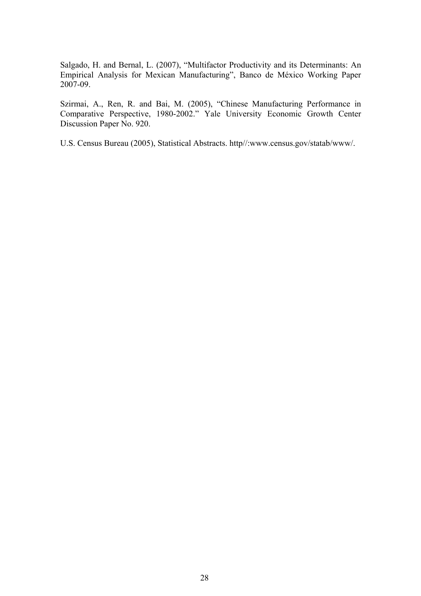Salgado, H. and Bernal, L. (2007), "Multifactor Productivity and its Determinants: An Empirical Analysis for Mexican Manufacturing", Banco de México Working Paper 2007-09.

Szirmai, A., Ren, R. and Bai, M. (2005), "Chinese Manufacturing Performance in Comparative Perspective, 1980-2002." Yale University Economic Growth Center Discussion Paper No. 920.

U.S. Census Bureau (2005), Statistical Abstracts. http//:www.census.gov/statab/www/.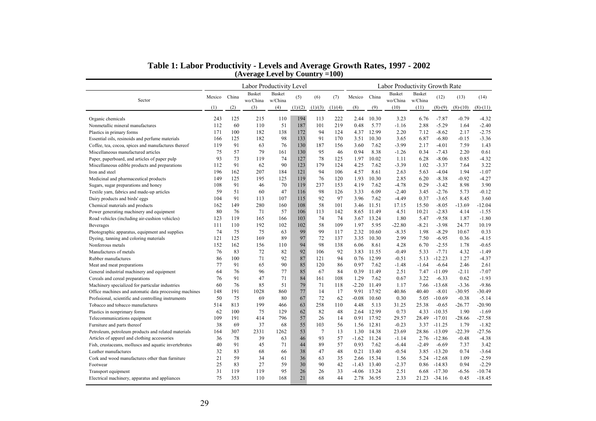|                                                                                    | Labor Productivity Level |           |                           |                          |          | Labor Productivity Growth Rate |           |                 |                |                           |                          |                     |                     |            |
|------------------------------------------------------------------------------------|--------------------------|-----------|---------------------------|--------------------------|----------|--------------------------------|-----------|-----------------|----------------|---------------------------|--------------------------|---------------------|---------------------|------------|
| Sector                                                                             | Mexico                   | China     | <b>Basket</b><br>wo/China | <b>Basket</b><br>w/China | (5)      | (6)                            | (7)       | Mexico          | China          | <b>Basket</b><br>wo/China | <b>Basket</b><br>w/China | (12)                | (13)                | (14)       |
|                                                                                    | (1)                      | (2)       | (3)                       | (4)                      | (1)/(2)  | (1)/(3)                        | (1)/(4)   | (8)             | (9)            | (10)                      | (11)                     | $(8)-(9)$           | $(8)-(10)$          | $(8)-(11)$ |
| Organic chemicals                                                                  | 243                      | 125       | 215                       | 110                      | 194      | 113                            | 222       | 2.44            | 10.30          | 3.23                      | 6.76                     | $-7.87$             | $-0.79$             | $-4.32$    |
| Nonmetallic mineral manufactures                                                   | 112                      | 60        | 110                       | 51                       | 187      | 101                            | 219       | 0.48            | 5.77           | $-1.16$                   | 2.88                     | $-5.29$             | 1.64                | $-2.40$    |
| Plastics in primary forms                                                          | 171                      | 100       | 182                       | 138                      | 172      | 94                             | 124       | 4.37            | 12.99          | 2.20                      | 7.12                     | $-8.62$             | 2.17                | $-2.75$    |
| Essential oils, resinoids and perfume materials                                    | 166                      | 125       | 182                       | 98                       | 133      | 91                             | 170       | 3.51            | 10.30          | 3.65                      | 6.87                     | $-6.80$             | $-0.15$             | $-3.36$    |
| Coffee, tea, cocoa, spices and manufactures thereof                                | 119                      | 91        | 63                        | 76                       | 130      | 187                            | 156       | 3.60            | 7.62           | $-3.99$                   | 2.17                     | $-4.01$             | 7.59                | 1.43       |
| Miscellaneous manufactured articles                                                | 75                       | 57        | 79                        | 161                      | 130      | 95                             | 46        | 0.94            | 8.38           | $-1.26$                   | 0.34                     | $-7.43$             | 2.20                | 0.61       |
|                                                                                    | 93                       | 73        | 119                       | 74                       | 127      | 78                             | 125       | 1.97            | 10.02          | 1.11                      | 6.28                     | $-8.06$             | 0.85                | $-4.32$    |
| Paper, paperboard, and articles of paper pulp                                      | 112                      | 91        | 62                        | 90                       | 123      | 179                            | 124       | 4.25            | 7.62           | $-3.39$                   | 1.02                     | $-3.37$             | 7.64                | 3.22       |
| Miscellaneous edible products and preparations<br>Iron and steel                   | 196                      | 162       | 207                       | 184                      | 121      | 94                             | 106       | 4.57            | 8.61           | 2.63                      | 5.63                     | $-4.04$             | 1.94                | $-1.07$    |
| Medicinal and pharmaceutical products                                              | 149                      | 125       | 195                       | 125                      | 119      | 76                             | 120       | 1.93            | 10.30          | 2.85                      | 6.20                     | $-8.38$             | $-0.92$             | $-4.27$    |
|                                                                                    | 108                      | 91        | 46                        | 70                       | 119      | 237                            | 153       | 4.19            | 7.62           | $-4.78$                   | 0.29                     | $-3.42$             | 8.98                | 3.90       |
| Sugars, sugar preparations and honey<br>Textile yarn, fabrics and made-up articles | 59                       | 51        | 60                        | 47                       | 116      | 98                             | 126       | 3.33            | 6.09           | $-2.40$                   | 3.45                     | $-2.76$             | 5.73                | $-0.12$    |
|                                                                                    | 104                      | 91        | 113                       | 107                      | 115      | 92                             | 97        | 3.96            | 7.62           | $-4.49$                   | 0.37                     | $-3.65$             | 8.45                | 3.60       |
| Dairy products and birds' eggs                                                     | 162                      | 149       | 280                       | 160                      | 108      | 58                             | 101       | 3.46            | 11.51          | 17.15                     | 15.50                    | $-8.05$             | $-13.69$            | $-12.04$   |
| Chemical materials and products<br>Power generating machinery and equipment        | 80                       | 76        | 71                        | 57                       | 106      | 113                            | 142       | 8.65            | 11.49          | 4.51                      | 10.21                    | $-2.83$             | 4.14                | $-1.55$    |
| Road vehicles (including air-cushion vehicles)                                     | 123                      | 119       | 165                       | 166                      | 103      | 74                             | 74        | 3.67            | 13.24          | 1.80                      | 5.47                     | $-9.58$             | 1.87                | $-1.80$    |
|                                                                                    | 111                      | 110       | 192                       | 102                      | 102      | 58                             | 109       | 1.97            | 5.95           | $-22.80$                  | $-8.21$                  | $-3.98$             | 24.77               | 10.19      |
| Beverages<br>Photographic apparatus, equipment and supplies                        | 74                       | 75        | 75                        | 63                       | 99       | 99                             | 117       | 2.32            | 10.60          | $-8.35$                   | 1.98                     | $-8.29$             | 10.67               | 0.33       |
|                                                                                    | 121                      | 125       | 169                       | 89                       | 97       | 72                             | 137       | 3.35            | 10.30          | 2.99                      | 7.50                     | $-6.95$             | 0.36                | $-4.15$    |
| Dyeing, tanning and coloring materials                                             | 152                      | 162       | 156                       | 110                      | 94       | 98                             | 138       |                 | 8.61           | 4.28                      | 6.70                     | $-2.55$             | 1.78                | $-0.65$    |
| Nonferrous metals<br>Manufactures of metals                                        | 76                       | 83        | 72                        | 82                       | 92       | 106                            | 92        | 6.06<br>3.83    | 11.55          | $-0.49$                   | 5.33                     | $-7.71$             | 4.32                | $-1.49$    |
| Rubber manufactures                                                                | 86                       | 100       | 71                        | 92                       | 87       | 121                            | 94        | 0.76            | 12.99          | $-0.51$                   | 5.13                     | $-12.23$            | 1.27                | $-4.37$    |
|                                                                                    | 77                       | 91        | 65                        | 90                       | 85       | 120                            | 86        |                 | 7.62           | $-1.48$                   | $-1.64$                  | $-6.64$             | 2.46                | 2.61       |
| Meat and meat preparations                                                         | 64                       | 76        | 96                        | 77                       | 85       | 67                             | 84        | 0.97<br>0.39    | 11.49          | 2.51                      | 7.47                     | $-11.09$            | $-2.11$             | $-7.07$    |
| General industrial machinery and equipment                                         | 76                       | 91        | 47                        | 71                       | 84       | 161                            | 108       | 1.29            | 7.62           | 0.67                      | 3.22                     | $-6.33$             | 0.62                | $-1.93$    |
| Cereals and cereal preparations                                                    | 60                       |           | 85                        | 51                       | 79       |                                |           |                 |                |                           |                          |                     |                     | $-9.86$    |
| Machinery specialized for particular industries                                    | 148                      | 76<br>191 | 1028                      | 860                      | 77       | 71<br>14                       | 118<br>17 | $-2.20$<br>9.91 | 11.49<br>17.92 | 1.17<br>40.86             | 7.66<br>40.40            | $-13.68$<br>$-8.01$ | $-3.36$<br>$-30.95$ | $-30.49$   |
| Office machines and automatic data processing machines                             | 50                       | 75        | 69                        | 80                       | 67       | 72                             | 62        | $-0.08$         | 10.60          |                           | 5.05                     | $-10.69$            | $-0.38$             | $-5.14$    |
| Profssional, scientific and controlling instruments                                | 514                      | 813       | 199                       |                          |          | 258                            |           | 4.48            |                | 0.30<br>31.25             |                          |                     |                     | $-20.90$   |
| Tobacco and tobacco manufactures                                                   | 62                       | 100       | 75                        | 466<br>129               | 63<br>62 | 82                             | 110<br>48 | 2.64            | 5.13<br>12.99  | 0.73                      | 25.38<br>4.33            | $-0.65$<br>$-10.35$ | $-26.77$<br>1.90    | $-1.69$    |
| Plastics in nonprimary forms                                                       | 109                      | 191       | 414                       | 796                      | 57       | 26                             | 14        |                 | 17.92          | 29.57                     |                          | $-17.01$            |                     | $-27.58$   |
| Telecommunications equipment                                                       | 38                       | 69        |                           |                          |          | 103                            |           | 0.91            |                |                           | 28.49                    |                     | $-28.66$            | $-1.82$    |
| Furniture and parts thereof                                                        |                          |           | 37                        | 68                       | 55       | $\tau$                         | 56        | 1.56            | 12.81          | $-0.23$                   | 3.37                     | $-11.25$            | 1.79                |            |
| Petroleum, petroleum products and related materials                                | 164                      | 307       | 2331                      | 1262                     | 53       |                                | 13        | 1.30            | 14.38          | 23.69                     | 28.86                    | $-13.09$            | $-22.39$            | $-27.56$   |
| Articles of apparel and clothing accessories                                       | 36                       | 78        | 39                        | 63                       | 46       | 93                             | 57        | $-1.62$         | 11.24          | $-1.14$                   | 2.76                     | $-12.86$            | $-0.48$             | $-4.38$    |
| Fish, crustaceans, molluscs and aquatic invertebrates                              | 40                       | 91        | 45                        | 71                       | 44       | 89                             | 57        | 0.93            | 7.62           | $-6.44$                   | $-2.49$                  | $-6.69$             | 7.37                | 3.42       |
| Leather manufactures                                                               | 32                       | 83        | 68                        | 66                       | 38       | 47                             | 48        | 0.21            | 13.40          | $-0.54$                   | 3.85                     | $-13.20$            | 0.74                | $-3.64$    |
| Cork and wood manufactures other than furniture                                    | 21                       | 59        | 34                        | 61                       | 36       | 63                             | 35        | 2.66            | 15.34          | 1.56                      | 5.24                     | $-12.68$            | 1.09                | $-2.59$    |
| Footwear                                                                           | 25                       | 83        | 27                        | 59                       | 30       | 90                             | 42        | $-1.43$         | 13.40          | $-2.37$                   | 0.86                     | $-14.83$            | 0.94                | $-2.29$    |
| Transport equipment                                                                | 31                       | 119       | 119                       | 95                       | 26       | 26                             | 33        | $-4.06$         | 13.24          | 2.51                      | 6.68                     | $-17.30$            | $-6.56$             | $-10.74$   |
| Electrical machinery, apparatus and appliances                                     | 75                       | 353       | 110                       | 168                      | 21       | 68                             | 44        | 2.78            | 36.95          | 2.33                      | 21.23                    | $-34.16$            | 0.45                | $-18.45$   |

**Table 1: Labor Productivity - Levels and Average Growth Rates, 1997 - 2002 (Average Level by Country =100)**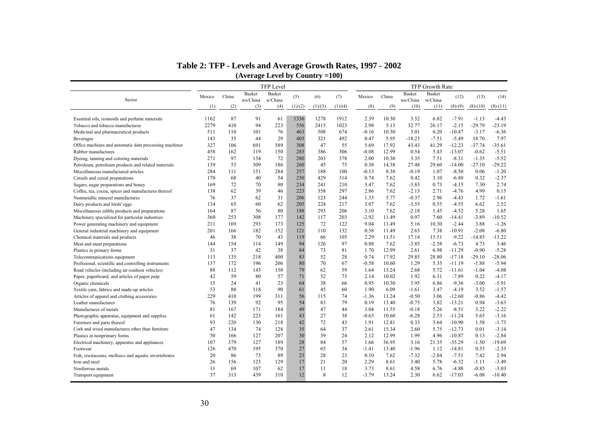| <b>Basket</b><br><b>Basket</b><br><b>Basket</b><br><b>Basket</b><br>(5)<br>(6)<br>China<br>Mexico<br>China<br>(7)<br>Mexico<br>(12)<br>(13)<br>(14)<br>w/China<br>wo/China<br>w/China<br>wo/China<br>Sector<br>(9)<br>(1)<br>(2)<br>(3)<br>(4)<br>(1)/(2)<br>(1)/(3)<br>(1)/(4)<br>(8)<br>(10)<br>(11)<br>$(8)-(9)$<br>$(8)-(10)$<br>$(8)-(11)$<br>1162<br>87<br>91<br>1336<br>1278<br>1912<br>3.52<br>6.82<br>$-7.91$<br>$-4.43$<br>Essential oils, resinoids and perfume materials<br>61<br>2.39<br>10.30<br>$-1.13$<br>$-23.19$<br>2279<br>410<br>94<br>223<br>1023<br>2.98<br>32.77<br>26.17<br>$-2.15$<br>$-29.79$<br>Tobacco and tobacco manufactures<br>556<br>2415<br>5.13<br>76<br>$-6.36$<br>110<br>101<br>463<br>508<br>674<br>$-0.16$<br>10.30<br>3.01<br>6.20<br>$-10.47$<br>$-3.17$<br>511<br>Medicinal and pharmaceutical products<br>7.97<br>35<br>29<br>403<br>321<br>492<br>0.47<br>5.95<br>$-18.23$<br>$-7.51$<br>$-5.49$<br>18.70<br>143<br>44<br><b>Beverages</b><br>327<br>691<br>589<br>308<br>55<br>17.92<br>43.43<br>41.29<br>$-12.23$<br>$-37.74$<br>$-35.61$<br>Office machines and automatic data processing machines<br>106<br>47<br>5.69<br>150<br>$-0.08$<br>5.43<br>$-13.07$<br>$-0.62$<br>$-5.51$<br>458<br>162<br>119<br>283<br>386<br>306<br>12.99<br>0.54<br>Rubber manufactures<br>$-5.52$<br>271<br>97<br>72<br>280<br>203<br>378<br>2.00<br>10.30<br>3.35<br>7.51<br>$-8.31$<br>$-1.35$<br>Dyeing, tanning and coloring materials<br>134<br>309<br>75<br>$-14.00$<br>$-27.10$<br>$-29.22$<br>Petroleum, petroleum products and related materials<br>53<br>186<br>260<br>45<br>0.38<br>27.48<br>29.60<br>139<br>14.38<br>$-1.20$<br>284<br>284<br>257<br>188<br>100<br>$-0.13$<br>8.38<br>$-0.19$<br>1.07<br>$-8.50$<br>0.06<br>Miscellaneous manufactured articles<br>111<br>151<br>429<br>0.74<br>$-6.88$<br>$-2.37$<br>170<br>68<br>40<br>54<br>250<br>314<br>7.62<br>0.42<br>3.10<br>0.32<br>Cereals and cereal preparations |  |  | <b>TFP Level</b> |  |  |  | <b>TFP Growth Rate</b> |  |  |
|------------------------------------------------------------------------------------------------------------------------------------------------------------------------------------------------------------------------------------------------------------------------------------------------------------------------------------------------------------------------------------------------------------------------------------------------------------------------------------------------------------------------------------------------------------------------------------------------------------------------------------------------------------------------------------------------------------------------------------------------------------------------------------------------------------------------------------------------------------------------------------------------------------------------------------------------------------------------------------------------------------------------------------------------------------------------------------------------------------------------------------------------------------------------------------------------------------------------------------------------------------------------------------------------------------------------------------------------------------------------------------------------------------------------------------------------------------------------------------------------------------------------------------------------------------------------------------------------------------------------------------------------------------------------------------------------------------------------------------------------------------------------------------------------------------------------------------------------------------------------------------------------------------------------------------------------------------------------|--|--|------------------|--|--|--|------------------------|--|--|
|                                                                                                                                                                                                                                                                                                                                                                                                                                                                                                                                                                                                                                                                                                                                                                                                                                                                                                                                                                                                                                                                                                                                                                                                                                                                                                                                                                                                                                                                                                                                                                                                                                                                                                                                                                                                                                                                                                                                                                        |  |  |                  |  |  |  |                        |  |  |
|                                                                                                                                                                                                                                                                                                                                                                                                                                                                                                                                                                                                                                                                                                                                                                                                                                                                                                                                                                                                                                                                                                                                                                                                                                                                                                                                                                                                                                                                                                                                                                                                                                                                                                                                                                                                                                                                                                                                                                        |  |  |                  |  |  |  |                        |  |  |
|                                                                                                                                                                                                                                                                                                                                                                                                                                                                                                                                                                                                                                                                                                                                                                                                                                                                                                                                                                                                                                                                                                                                                                                                                                                                                                                                                                                                                                                                                                                                                                                                                                                                                                                                                                                                                                                                                                                                                                        |  |  |                  |  |  |  |                        |  |  |
|                                                                                                                                                                                                                                                                                                                                                                                                                                                                                                                                                                                                                                                                                                                                                                                                                                                                                                                                                                                                                                                                                                                                                                                                                                                                                                                                                                                                                                                                                                                                                                                                                                                                                                                                                                                                                                                                                                                                                                        |  |  |                  |  |  |  |                        |  |  |
|                                                                                                                                                                                                                                                                                                                                                                                                                                                                                                                                                                                                                                                                                                                                                                                                                                                                                                                                                                                                                                                                                                                                                                                                                                                                                                                                                                                                                                                                                                                                                                                                                                                                                                                                                                                                                                                                                                                                                                        |  |  |                  |  |  |  |                        |  |  |
|                                                                                                                                                                                                                                                                                                                                                                                                                                                                                                                                                                                                                                                                                                                                                                                                                                                                                                                                                                                                                                                                                                                                                                                                                                                                                                                                                                                                                                                                                                                                                                                                                                                                                                                                                                                                                                                                                                                                                                        |  |  |                  |  |  |  |                        |  |  |
|                                                                                                                                                                                                                                                                                                                                                                                                                                                                                                                                                                                                                                                                                                                                                                                                                                                                                                                                                                                                                                                                                                                                                                                                                                                                                                                                                                                                                                                                                                                                                                                                                                                                                                                                                                                                                                                                                                                                                                        |  |  |                  |  |  |  |                        |  |  |
|                                                                                                                                                                                                                                                                                                                                                                                                                                                                                                                                                                                                                                                                                                                                                                                                                                                                                                                                                                                                                                                                                                                                                                                                                                                                                                                                                                                                                                                                                                                                                                                                                                                                                                                                                                                                                                                                                                                                                                        |  |  |                  |  |  |  |                        |  |  |
|                                                                                                                                                                                                                                                                                                                                                                                                                                                                                                                                                                                                                                                                                                                                                                                                                                                                                                                                                                                                                                                                                                                                                                                                                                                                                                                                                                                                                                                                                                                                                                                                                                                                                                                                                                                                                                                                                                                                                                        |  |  |                  |  |  |  |                        |  |  |
|                                                                                                                                                                                                                                                                                                                                                                                                                                                                                                                                                                                                                                                                                                                                                                                                                                                                                                                                                                                                                                                                                                                                                                                                                                                                                                                                                                                                                                                                                                                                                                                                                                                                                                                                                                                                                                                                                                                                                                        |  |  |                  |  |  |  |                        |  |  |
|                                                                                                                                                                                                                                                                                                                                                                                                                                                                                                                                                                                                                                                                                                                                                                                                                                                                                                                                                                                                                                                                                                                                                                                                                                                                                                                                                                                                                                                                                                                                                                                                                                                                                                                                                                                                                                                                                                                                                                        |  |  |                  |  |  |  |                        |  |  |
|                                                                                                                                                                                                                                                                                                                                                                                                                                                                                                                                                                                                                                                                                                                                                                                                                                                                                                                                                                                                                                                                                                                                                                                                                                                                                                                                                                                                                                                                                                                                                                                                                                                                                                                                                                                                                                                                                                                                                                        |  |  |                  |  |  |  |                        |  |  |
|                                                                                                                                                                                                                                                                                                                                                                                                                                                                                                                                                                                                                                                                                                                                                                                                                                                                                                                                                                                                                                                                                                                                                                                                                                                                                                                                                                                                                                                                                                                                                                                                                                                                                                                                                                                                                                                                                                                                                                        |  |  |                  |  |  |  |                        |  |  |
| 2.74<br>72<br>70<br>80<br>234<br>241<br>210<br>3.47<br>$-3.83$<br>0.73<br>$-4.15$<br>7.30<br>169<br>7.62<br>Sugars, sugar preparations and honey                                                                                                                                                                                                                                                                                                                                                                                                                                                                                                                                                                                                                                                                                                                                                                                                                                                                                                                                                                                                                                                                                                                                                                                                                                                                                                                                                                                                                                                                                                                                                                                                                                                                                                                                                                                                                       |  |  |                  |  |  |  |                        |  |  |
| 62<br>46<br>223<br>0.15<br>138<br>39<br>358<br>297<br>2.86<br>7.62<br>$-2.13$<br>2.71<br>$-4.76$<br>4.99<br>Coffee, tea, cocoa, spices and manufactures thereof                                                                                                                                                                                                                                                                                                                                                                                                                                                                                                                                                                                                                                                                                                                                                                                                                                                                                                                                                                                                                                                                                                                                                                                                                                                                                                                                                                                                                                                                                                                                                                                                                                                                                                                                                                                                        |  |  |                  |  |  |  |                        |  |  |
| 37<br>62<br>5.77<br>$-0.37$<br>2.96<br>$-4.43$<br>$-1.61$<br>Nonmetallic mineral manufactures<br>76<br>31<br>206<br>123<br>244<br>1.35<br>1.72                                                                                                                                                                                                                                                                                                                                                                                                                                                                                                                                                                                                                                                                                                                                                                                                                                                                                                                                                                                                                                                                                                                                                                                                                                                                                                                                                                                                                                                                                                                                                                                                                                                                                                                                                                                                                         |  |  |                  |  |  |  |                        |  |  |
| 62<br>2.52<br>134<br>65<br>60<br>205<br>224<br>217<br>3.07<br>$-3.55$<br>0.55<br>$-4.55$<br>6.62<br>Dairy products and birds' eggs<br>7.62                                                                                                                                                                                                                                                                                                                                                                                                                                                                                                                                                                                                                                                                                                                                                                                                                                                                                                                                                                                                                                                                                                                                                                                                                                                                                                                                                                                                                                                                                                                                                                                                                                                                                                                                                                                                                             |  |  |                  |  |  |  |                        |  |  |
| 80<br>87<br>56<br>188<br>293<br>206<br>7.62<br>$-2.18$<br>1.45<br>$-4.52$<br>5.28<br>1.65<br>Miscellaneous edible products and preparations<br>164<br>3.10                                                                                                                                                                                                                                                                                                                                                                                                                                                                                                                                                                                                                                                                                                                                                                                                                                                                                                                                                                                                                                                                                                                                                                                                                                                                                                                                                                                                                                                                                                                                                                                                                                                                                                                                                                                                             |  |  |                  |  |  |  |                        |  |  |
| $-10.52$<br>253<br>308<br>177<br>142<br>117<br>203<br>$-2.92$<br>11.49<br>0.97<br>7.60<br>$-14.41$<br>$-3.89$<br>Machinery specialized for particular industries<br>360                                                                                                                                                                                                                                                                                                                                                                                                                                                                                                                                                                                                                                                                                                                                                                                                                                                                                                                                                                                                                                                                                                                                                                                                                                                                                                                                                                                                                                                                                                                                                                                                                                                                                                                                                                                                |  |  |                  |  |  |  |                        |  |  |
| $-1.26$<br>169<br>293<br>173<br>125<br>9.04<br>$-2.44$<br>3.88<br>Power generating machinery and equipment<br>211<br>72<br>122<br>11.49<br>5.16<br>10.30                                                                                                                                                                                                                                                                                                                                                                                                                                                                                                                                                                                                                                                                                                                                                                                                                                                                                                                                                                                                                                                                                                                                                                                                                                                                                                                                                                                                                                                                                                                                                                                                                                                                                                                                                                                                               |  |  |                  |  |  |  |                        |  |  |
| 182<br>110<br>132<br>$-10.91$<br>$-2.08$<br>$-6.80$<br>201<br>152<br>121<br>0.58<br>2.65<br>7.38<br>General industrial machinery and equipment<br>166<br>11.49                                                                                                                                                                                                                                                                                                                                                                                                                                                                                                                                                                                                                                                                                                                                                                                                                                                                                                                                                                                                                                                                                                                                                                                                                                                                                                                                                                                                                                                                                                                                                                                                                                                                                                                                                                                                         |  |  |                  |  |  |  |                        |  |  |
| 38<br>43<br>$-9.22$<br>$-14.85$<br>$-13.22$<br>Chemical materials and products<br>70<br>119<br>66<br>105<br>2.29<br>11.51<br>17.14<br>15.51<br>46                                                                                                                                                                                                                                                                                                                                                                                                                                                                                                                                                                                                                                                                                                                                                                                                                                                                                                                                                                                                                                                                                                                                                                                                                                                                                                                                                                                                                                                                                                                                                                                                                                                                                                                                                                                                                      |  |  |                  |  |  |  |                        |  |  |
| $-6.73$<br>3.46<br>154<br>114<br>149<br>94<br>97<br>0.88<br>7.62<br>$-3.85$<br>$-2.58$<br>4.73<br>Meat and meat preparations<br>144<br>126                                                                                                                                                                                                                                                                                                                                                                                                                                                                                                                                                                                                                                                                                                                                                                                                                                                                                                                                                                                                                                                                                                                                                                                                                                                                                                                                                                                                                                                                                                                                                                                                                                                                                                                                                                                                                             |  |  |                  |  |  |  |                        |  |  |
| 37<br>38<br>84<br>73<br>81<br>12.99<br>2.61<br>6.98<br>$-11.29$<br>$-0.90$<br>$-5.28$<br>31<br>42<br>1.70<br>Plastics in primary forms                                                                                                                                                                                                                                                                                                                                                                                                                                                                                                                                                                                                                                                                                                                                                                                                                                                                                                                                                                                                                                                                                                                                                                                                                                                                                                                                                                                                                                                                                                                                                                                                                                                                                                                                                                                                                                 |  |  |                  |  |  |  |                        |  |  |
| $-28.06$<br>218<br>400<br>83<br>52<br>28<br>$-17.18$<br>$-29.10$<br>Telecommunications equipment<br>113<br>135<br>0.74<br>17.92<br>29.85<br>28.80                                                                                                                                                                                                                                                                                                                                                                                                                                                                                                                                                                                                                                                                                                                                                                                                                                                                                                                                                                                                                                                                                                                                                                                                                                                                                                                                                                                                                                                                                                                                                                                                                                                                                                                                                                                                                      |  |  |                  |  |  |  |                        |  |  |
| 172<br>206<br>80<br>70<br>67<br>$-0.58$<br>1.29<br>$-1.88$<br>$-5.94$<br>137<br>196<br>10.60<br>5.35<br>$-11.19$<br>Profssional, scientific and controlling instruments                                                                                                                                                                                                                                                                                                                                                                                                                                                                                                                                                                                                                                                                                                                                                                                                                                                                                                                                                                                                                                                                                                                                                                                                                                                                                                                                                                                                                                                                                                                                                                                                                                                                                                                                                                                                |  |  |                  |  |  |  |                        |  |  |
| $-4.08$<br>88<br>112<br>143<br>150<br>79<br>62<br>59<br>1.64<br>2.68<br>5.72<br>$-11.61$<br>$-1.04$<br>Road vehicles (including air-cushion vehicles)<br>13.24                                                                                                                                                                                                                                                                                                                                                                                                                                                                                                                                                                                                                                                                                                                                                                                                                                                                                                                                                                                                                                                                                                                                                                                                                                                                                                                                                                                                                                                                                                                                                                                                                                                                                                                                                                                                         |  |  |                  |  |  |  |                        |  |  |
| 59<br>80<br>57<br>71<br>52<br>73<br>$-7.89$<br>0.22<br>$-4.17$<br>42<br>2.14<br>10.02<br>1.92<br>6.31<br>Paper, paperboard, and articles of paper pulp                                                                                                                                                                                                                                                                                                                                                                                                                                                                                                                                                                                                                                                                                                                                                                                                                                                                                                                                                                                                                                                                                                                                                                                                                                                                                                                                                                                                                                                                                                                                                                                                                                                                                                                                                                                                                 |  |  |                  |  |  |  |                        |  |  |
| 23<br>38<br>$-9.36$<br>15<br>24<br>64<br>66<br>0.95<br>3.95<br>6.86<br>$-3.00$<br>$-5.91$<br>Organic chemicals<br>41<br>10.30                                                                                                                                                                                                                                                                                                                                                                                                                                                                                                                                                                                                                                                                                                                                                                                                                                                                                                                                                                                                                                                                                                                                                                                                                                                                                                                                                                                                                                                                                                                                                                                                                                                                                                                                                                                                                                          |  |  |                  |  |  |  |                        |  |  |
| 88<br>90<br>$-4.19$<br>$-1.57$<br>Textile yarn, fabrics and made-up articles<br>53<br>118<br>61<br>45<br>60<br>1.90<br>6.09<br>$-1.61$<br>3.47<br>3.52                                                                                                                                                                                                                                                                                                                                                                                                                                                                                                                                                                                                                                                                                                                                                                                                                                                                                                                                                                                                                                                                                                                                                                                                                                                                                                                                                                                                                                                                                                                                                                                                                                                                                                                                                                                                                 |  |  |                  |  |  |  |                        |  |  |
| 229<br>410<br>199<br>56<br>115<br>74<br>$-12.60$<br>$-0.86$<br>$-4.42$<br>Articles of apparel and clothing accessories<br>311<br>$-1.36$<br>11.24<br>$-0.50$<br>3.06                                                                                                                                                                                                                                                                                                                                                                                                                                                                                                                                                                                                                                                                                                                                                                                                                                                                                                                                                                                                                                                                                                                                                                                                                                                                                                                                                                                                                                                                                                                                                                                                                                                                                                                                                                                                   |  |  |                  |  |  |  |                        |  |  |
| 95<br>54<br>83<br>79<br>3.82<br>$-3.63$<br>76<br>139<br>92<br>0.19<br>$-0.75$<br>$-13.21$<br>0.94<br>Leather manufactures<br>13.40                                                                                                                                                                                                                                                                                                                                                                                                                                                                                                                                                                                                                                                                                                                                                                                                                                                                                                                                                                                                                                                                                                                                                                                                                                                                                                                                                                                                                                                                                                                                                                                                                                                                                                                                                                                                                                     |  |  |                  |  |  |  |                        |  |  |
| $-2.22$<br>81<br>49<br>47<br>5.26<br>$-8.51$<br>3.22<br>167<br>171<br>184<br>44<br>3.04<br>11.55<br>$-0.18$<br>Manufactures of metals                                                                                                                                                                                                                                                                                                                                                                                                                                                                                                                                                                                                                                                                                                                                                                                                                                                                                                                                                                                                                                                                                                                                                                                                                                                                                                                                                                                                                                                                                                                                                                                                                                                                                                                                                                                                                                  |  |  |                  |  |  |  |                        |  |  |
| 5.65<br>$-3.16$<br>142<br>223<br>161<br>43<br>27<br>38<br>$-0.63$<br>10.60<br>$-6.28$<br>2.53<br>$-11.24$<br>61<br>Photographic apparatus, equipment and supplies                                                                                                                                                                                                                                                                                                                                                                                                                                                                                                                                                                                                                                                                                                                                                                                                                                                                                                                                                                                                                                                                                                                                                                                                                                                                                                                                                                                                                                                                                                                                                                                                                                                                                                                                                                                                      |  |  |                  |  |  |  |                        |  |  |
| 93<br>220<br>130<br>218<br>42<br>72<br>43<br>1.91<br>0.33<br>3.64<br>$-10.90$<br>1.58<br>$-1.73$<br>12.81<br>Furniture and parts thereof                                                                                                                                                                                                                                                                                                                                                                                                                                                                                                                                                                                                                                                                                                                                                                                                                                                                                                                                                                                                                                                                                                                                                                                                                                                                                                                                                                                                                                                                                                                                                                                                                                                                                                                                                                                                                               |  |  |                  |  |  |  |                        |  |  |
| 35<br>$-3.14$<br>47<br>134<br>74<br>128<br>64<br>37<br>2.61<br>2.60<br>5.75<br>$-12.73$<br>0.01<br>Cork and wood manufactures other than furniture<br>15.34                                                                                                                                                                                                                                                                                                                                                                                                                                                                                                                                                                                                                                                                                                                                                                                                                                                                                                                                                                                                                                                                                                                                                                                                                                                                                                                                                                                                                                                                                                                                                                                                                                                                                                                                                                                                            |  |  |                  |  |  |  |                        |  |  |
| 30<br>$-2.84$<br>127<br>207<br>39<br>24<br>1.99<br>4.96<br>$-10.87$<br>50<br>166<br>2.12<br>12.99<br>0.13<br>Plastics in nonprimary forms                                                                                                                                                                                                                                                                                                                                                                                                                                                                                                                                                                                                                                                                                                                                                                                                                                                                                                                                                                                                                                                                                                                                                                                                                                                                                                                                                                                                                                                                                                                                                                                                                                                                                                                                                                                                                              |  |  |                  |  |  |  |                        |  |  |
| 189<br>$-19.69$<br>107<br>379<br>127<br>28<br>84<br>57<br>36.95<br>3.16<br>21.35<br>$-35.29$<br>$-1.50$<br>1.66<br>Electrical machinery, apparatus and appliances                                                                                                                                                                                                                                                                                                                                                                                                                                                                                                                                                                                                                                                                                                                                                                                                                                                                                                                                                                                                                                                                                                                                                                                                                                                                                                                                                                                                                                                                                                                                                                                                                                                                                                                                                                                                      |  |  |                  |  |  |  |                        |  |  |
| 27<br>$-14.81$<br>$-2.53$<br>126<br>470<br>195<br>370<br>65<br>34<br>$-1.41$<br>13.40<br>$-1.96$<br>1.12<br>0.55<br>Footwear                                                                                                                                                                                                                                                                                                                                                                                                                                                                                                                                                                                                                                                                                                                                                                                                                                                                                                                                                                                                                                                                                                                                                                                                                                                                                                                                                                                                                                                                                                                                                                                                                                                                                                                                                                                                                                           |  |  |                  |  |  |  |                        |  |  |
| 23<br>2.94<br>20<br>86<br>73<br>89<br>23<br>28<br>0.10<br>$-7.32$<br>$-2.84$<br>$-7.51$<br>7.42<br>7.62<br>Fish, crustaceans, molluscs and aquatic invertebrates                                                                                                                                                                                                                                                                                                                                                                                                                                                                                                                                                                                                                                                                                                                                                                                                                                                                                                                                                                                                                                                                                                                                                                                                                                                                                                                                                                                                                                                                                                                                                                                                                                                                                                                                                                                                       |  |  |                  |  |  |  |                        |  |  |
| $-6.32$<br>$-3.49$<br>26<br>156<br>123<br>129<br>17<br>21<br>20<br>2.29<br>8.61<br>3.40<br>5.78<br>$-1.11$<br>Iron and steel                                                                                                                                                                                                                                                                                                                                                                                                                                                                                                                                                                                                                                                                                                                                                                                                                                                                                                                                                                                                                                                                                                                                                                                                                                                                                                                                                                                                                                                                                                                                                                                                                                                                                                                                                                                                                                           |  |  |                  |  |  |  |                        |  |  |
| $-4.88$<br>$-3.03$<br>69<br>107<br>62<br>17<br>18<br>3.73<br>4.58<br>6.76<br>$-0.85$<br>11<br>11<br>8.61<br>Nonferrous metals                                                                                                                                                                                                                                                                                                                                                                                                                                                                                                                                                                                                                                                                                                                                                                                                                                                                                                                                                                                                                                                                                                                                                                                                                                                                                                                                                                                                                                                                                                                                                                                                                                                                                                                                                                                                                                          |  |  |                  |  |  |  |                        |  |  |
| 37<br>439<br>310<br>12<br>8<br>12<br>$-3.79$<br>2.30<br>$-17.03$<br>$-6.08$<br>$-10.40$<br>313<br>13.24<br>6.62<br>Transport equipment                                                                                                                                                                                                                                                                                                                                                                                                                                                                                                                                                                                                                                                                                                                                                                                                                                                                                                                                                                                                                                                                                                                                                                                                                                                                                                                                                                                                                                                                                                                                                                                                                                                                                                                                                                                                                                 |  |  |                  |  |  |  |                        |  |  |

**Table 2: TFP - Levels and Average Growth Rates, 1997 - 2002 (Average Level by Country =100)**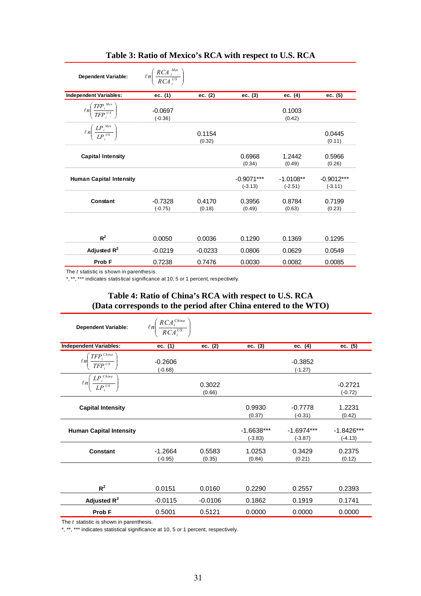| <b>Dependent Variable:</b>                             | $\ell n \left( \frac{RCA}{RCA}^{\frac{M\alpha}{US}} \right)$ |                  |                         |                          |                           |
|--------------------------------------------------------|--------------------------------------------------------------|------------------|-------------------------|--------------------------|---------------------------|
| <b>Independent Variables:</b>                          | ec. (1)                                                      | ec. (2)          | ec. $(3)$               | ec. (4)                  | ec. (5)                   |
| $\ell n \left( \frac{TFP_i^{Mex}}{TFP_i^{US}} \right)$ | $-0.0697$<br>$(-0.36)$                                       |                  |                         | 0.1003<br>(0.42)         |                           |
| $\ell n \left( \frac{LP_i^{Max}}{LP_i^{US}} \right)$   |                                                              | 0.1154<br>(0.32) |                         |                          | 0.0445<br>(0.11)          |
| <b>Capital Intensity</b>                               |                                                              |                  | 0.6968<br>(0.34)        | 1.2442<br>(0.49)         | 0.5966<br>(0.26)          |
| <b>Human Capital Intensity</b>                         |                                                              |                  | -0.9071***<br>$(-3.13)$ | $-1.0108**$<br>$(-2.51)$ | $-0.9012***$<br>$(-3.11)$ |
| Constant                                               | $-0.7328$<br>$(-0.75)$                                       | 0.4170<br>(0.18) | 0.3956<br>(0.49)        | 0.8784<br>(0.63)         | 0.7199<br>(0.23)          |
| $R^2$                                                  | 0.0050                                                       | 0.0036           | 0.1290                  | 0.1369                   | 0.1295                    |
| Adjusted $R^2$                                         | $-0.0219$                                                    | $-0.0233$        | 0.0806                  | 0.0629                   | 0.0549                    |
| Prob F                                                 | 0.7238                                                       | 0.7476           | 0.0030                  | 0.0082                   | 0.0085                    |

## **Table 3: Ratio of Mexico's RCA with respect to U.S. RCA**

The *t* statistic is shown in parenthesis.

\*, \*\*, \*\*\* indicates statistical significance at 10, 5 or 1 percent, respectively.

#### **Table 4: Ratio of China's RCA with respect to U.S. RCA (Data corresponds to the period after China entered to the WTO)**

| <b>Dependent Variable:</b>                                               | $\ell n \left( \frac{RCA_i^{China}}{RCA_i^{US}} \right)$ |                  |                           |                           |                           |
|--------------------------------------------------------------------------|----------------------------------------------------------|------------------|---------------------------|---------------------------|---------------------------|
| <b>Independent Variables:</b>                                            | ec. (1)                                                  | ec. (2)          | ec. $(3)$                 | ec. (4)                   | ec. (5)                   |
| $\ell n \left( \frac{TFP_i^{China}}{TFP_i^{US}} \right)$                 | $-0.2606$<br>$(-0.68)$                                   |                  |                           | $-0.3852$<br>$(-1.27)$    |                           |
| $\ell n \left( \frac{LP_i^{(\text{China})}}{LP_i^{(\text{US})}} \right)$ |                                                          | 0.3022<br>(0.66) |                           |                           | $-0.2721$<br>$(-0.72)$    |
| <b>Capital Intensity</b>                                                 |                                                          |                  | 0.9930<br>(0.37)          | $-0.7778$<br>$(-0.31)$    | 1.2231<br>(0.42)          |
| <b>Human Capital Intensity</b>                                           |                                                          |                  | $-1.6638***$<br>$(-3.83)$ | $-1.6974***$<br>$(-3.87)$ | $-1.8426***$<br>$(-4.13)$ |
| <b>Constant</b>                                                          | $-1.2664$<br>$(-0.95)$                                   | 0.5583<br>(0.35) | 1.0253<br>(0.84)          | 0.3429<br>(0.21)          | 0.2375<br>(0.12)          |
|                                                                          |                                                          |                  |                           |                           |                           |
| $R^2$                                                                    | 0.0151                                                   | 0.0160           | 0.2290                    | 0.2557                    | 0.2393                    |
| Adjusted $R^2$                                                           | $-0.0115$                                                | $-0.0106$        | 0.1862                    | 0.1919                    | 0.1741                    |
| Prob F                                                                   | 0.5001                                                   | 0.5121           | 0.0000                    | 0.0000                    | 0.0000                    |

The *t* statistic is shown in parenthesis.

\*, \*\*, \*\*\* indicates statistical significance at 10, 5 or 1 percent, respectively.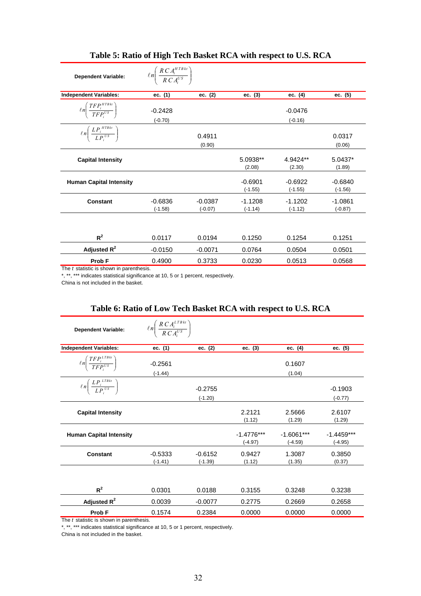| <b>Dependent Variable:</b>                              | $\ell n \left( \frac{R C A_i^{H T B k t}}{R C A_i^{U S}} \right)$ |                        |                        |                        |                        |
|---------------------------------------------------------|-------------------------------------------------------------------|------------------------|------------------------|------------------------|------------------------|
| <b>Independent Variables:</b>                           | ec. (1)                                                           | ec. (2)                | ec. (3)                | ec. (4)                | ec. (5)                |
| $\ell n\left(\frac{TFP_i^{HTBkt}}{TFP^{US}}\right)$     | $-0.2428$<br>$(-0.70)$                                            |                        |                        | $-0.0476$<br>$(-0.16)$ |                        |
| $\ell n\left(\frac{LP_i^{H T B k t}}{LP_i^{US}}\right)$ |                                                                   | 0.4911<br>(0.90)       |                        |                        | 0.0317<br>(0.06)       |
| <b>Capital Intensity</b>                                |                                                                   |                        | $5.0938**$<br>(2.08)   | 4.9424**<br>(2.30)     | $5.0437*$<br>(1.89)    |
| <b>Human Capital Intensity</b>                          |                                                                   |                        | $-0.6901$<br>$(-1.55)$ | $-0.6922$<br>$(-1.55)$ | $-0.6840$<br>$(-1.56)$ |
| Constant                                                | $-0.6836$<br>$(-1.58)$                                            | $-0.0387$<br>$(-0.07)$ | $-1.1208$<br>$(-1.14)$ | $-1.1202$<br>$(-1.12)$ | $-1.0861$<br>$(-0.87)$ |
|                                                         |                                                                   |                        |                        |                        |                        |
| $R^2$                                                   | 0.0117                                                            | 0.0194                 | 0.1250                 | 0.1254                 | 0.1251                 |
| Adjusted $R^2$                                          | $-0.0150$                                                         | $-0.0071$              | 0.0764                 | 0.0504                 | 0.0501                 |
| Prob F                                                  | 0.4900                                                            | 0.3733                 | 0.0230                 | 0.0513                 | 0.0568                 |

### **Table 5: Ratio of High Tech Basket RCA with respect to U.S. RCA**

The *t* statistic is shown in parenthesis.

\*, \*\*, \*\*\* indicates statistical significance at 10, 5 or 1 percent, respectively.

China is not included in the basket.

| <b>Dependent Variable:</b>                                | $\ell n \left( \frac{R\,CA_i^{L\,TB\,kt}}{R\,CA_i^{US}} \right)$ |                        |                           |                         |                         |
|-----------------------------------------------------------|------------------------------------------------------------------|------------------------|---------------------------|-------------------------|-------------------------|
| <b>Independent Variables:</b>                             | ec. $(1)$                                                        | ec. $(2)$              | ec. $(3)$                 | ec. (4)                 | ec. (5)                 |
| $\ell n \left( \frac{TFP_i^{LTBkt}}{TFP_i^{US}} \right)$  | $-0.2561$<br>$(-1.44)$                                           |                        |                           | 0.1607<br>(1.04)        |                         |
| $\ell n\left(\frac{LP_i^{LTBkt}}{LP_i^{US}}\right)$       |                                                                  | $-0.2755$<br>$(-1.20)$ |                           |                         | $-0.1903$<br>$(-0.77)$  |
| <b>Capital Intensity</b>                                  |                                                                  |                        | 2.2121<br>(1.12)          | 2.5666<br>(1.29)        | 2.6107<br>(1.29)        |
| <b>Human Capital Intensity</b>                            |                                                                  |                        | $-1.4776***$<br>$(-4.97)$ | $-1.6061***$<br>(-4.59) | $-1.4459***$<br>(-4.95) |
| <b>Constant</b>                                           | $-0.5333$<br>$(-1.41)$                                           | $-0.6152$<br>$(-1.39)$ | 0.9427<br>(1.12)          | 1.3087<br>(1.35)        | 0.3850<br>(0.37)        |
| $R^2$                                                     | 0.0301                                                           | 0.0188                 | 0.3155                    | 0.3248                  | 0.3238                  |
| Adjusted $R^2$                                            | 0.0039                                                           | $-0.0077$              | 0.2775                    | 0.2669                  | 0.2658                  |
| Prob F<br>The <i>L</i> statistic is shown in paperblessie | 0.1574                                                           | 0.2384                 | 0.0000                    | 0.0000                  | 0.0000                  |

### **Table 6: Ratio of Low Tech Basket RCA with respect to U.S. RCA**

The *t* statistic is shown in parenthesis.

\*, \*\*, \*\*\* indicates statistical significance at 10, 5 or 1 percent, respectively.

China is not included in the basket.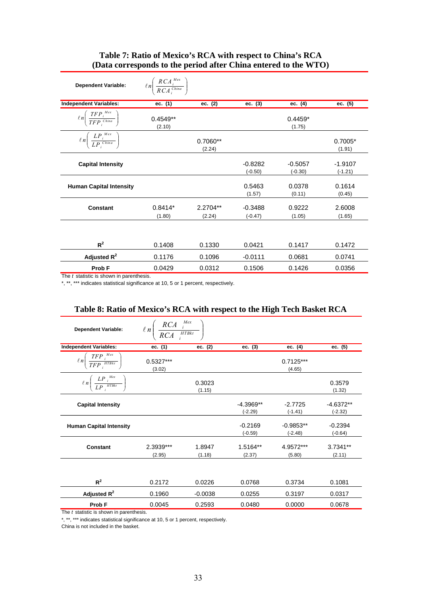## **Table 7: Ratio of Mexico's RCA with respect to China's RCA (Data corresponds to the period after China entered to the WTO)**

| <b>Dependent Variable:</b>                                | $\ell n \left( \frac{RCA_i^{Mex}}{RCA_i^{China}} \right)$ |                      |                        |                        |                        |
|-----------------------------------------------------------|-----------------------------------------------------------|----------------------|------------------------|------------------------|------------------------|
| <b>Independent Variables:</b>                             | ec. (1)                                                   | ec. (2)              | ec. (3)                | ec. (4)                | ec. (5)                |
| $\ell n \left( \frac{TFP_i^{Mex}}{TFP_i^{China}} \right)$ | $0.4549**$<br>(2.10)                                      |                      |                        | $0.4459*$<br>(1.75)    |                        |
| $\ell n\left(\frac{LP_i^{Max}}{LP_i^{China}}\right)$      |                                                           | $0.7060**$<br>(2.24) |                        |                        | $0.7005*$<br>(1.91)    |
| <b>Capital Intensity</b>                                  |                                                           |                      | $-0.8282$<br>$(-0.50)$ | $-0.5057$<br>$(-0.30)$ | $-1.9107$<br>$(-1.21)$ |
| <b>Human Capital Intensity</b>                            |                                                           |                      | 0.5463<br>(1.57)       | 0.0378<br>(0.11)       | 0.1614<br>(0.45)       |
| Constant                                                  | $0.8414*$<br>(1.80)                                       | $2.2704**$<br>(2.24) | $-0.3488$<br>$(-0.47)$ | 0.9222<br>(1.05)       | 2.6008<br>(1.65)       |
| $R^2$                                                     | 0.1408                                                    | 0.1330               | 0.0421                 | 0.1417                 | 0.1472                 |
| Adjusted $R^2$                                            | 0.1176                                                    | 0.1096               | $-0.0111$              | 0.0681                 | 0.0741                 |
| Prob F                                                    | 0.0429                                                    | 0.0312               | 0.1506                 | 0.1426                 | 0.0356                 |

The *t* statistic is shown in parenthesis.

\*, \*\*, \*\*\* indicates statistical significance at 10, 5 or 1 percent, respectively.

| <b>Dependent Variable:</b>                                    | $\left(\begin{array}{cc} RCA & \frac{Mex}{i} \\ RCA & \frac{HTBkt}{i} \end{array}\right)$<br>$\ell n$ | Mex              |                          |                          |                          |
|---------------------------------------------------------------|-------------------------------------------------------------------------------------------------------|------------------|--------------------------|--------------------------|--------------------------|
| <b>Independent Variables:</b>                                 | ec. $(1)$                                                                                             | ec. $(2)$        | ec. $(3)$                | ec. $(4)$                | ec. $(5)$                |
| $\ell n \left( \frac{TFP_{i}^{Max}}{TFP_{i}^{HTBkt}} \right)$ | $0.5327***$<br>(3.02)                                                                                 |                  |                          | $0.7125***$<br>(4.65)    |                          |
| $\ell n \left( \frac{LP_i^{Mex}}{LP_i^{HTBkt}} \right)$       |                                                                                                       | 0.3023<br>(1.15) |                          |                          | 0.3579<br>(1.32)         |
| <b>Capital Intensity</b>                                      |                                                                                                       |                  | $-4.3969**$<br>$(-2.29)$ | $-2.7725$<br>$(-1.41)$   | $-4.6372**$<br>$(-2.32)$ |
| <b>Human Capital Intensity</b>                                |                                                                                                       |                  | $-0.2169$<br>$(-0.59)$   | $-0.9853**$<br>$(-2.48)$ | $-0.2394$<br>$(-0.64)$   |
| Constant                                                      | 2.3939***<br>(2.95)                                                                                   | 1.8947<br>(1.18) | 1.5164**<br>(2.37)       | 4.9572***<br>(5.80)      | 3.7341**<br>(2.11)       |
| $R^2$                                                         | 0.2172                                                                                                | 0.0226           | 0.0768                   | 0.3734                   | 0.1081                   |
| Adjusted $R^2$                                                | 0.1960                                                                                                | $-0.0038$        | 0.0255                   | 0.3197                   | 0.0317                   |
| Prob F                                                        | 0.0045                                                                                                | 0.2593           | 0.0480                   | 0.0000                   | 0.0678                   |

### **Table 8: Ratio of Mexico's RCA with respect to the High Tech Basket RCA**

The *t* statistic is shown in parenthesis.

\*, \*\*, \*\*\* indicates statistical significance at 10, 5 or 1 percent, respectively.

China is not included in the basket.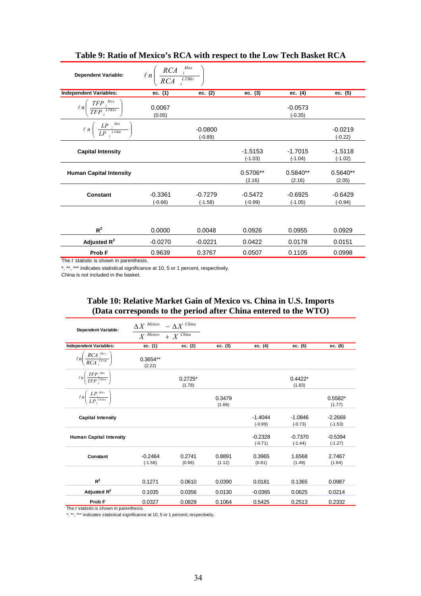| <b>Dependent Variable:</b>                                  | $\ell n \left( \frac{RCA}{RCA} \frac{Mex}{kTBkt} \right)$ |                        |                        |                        |                        |
|-------------------------------------------------------------|-----------------------------------------------------------|------------------------|------------------------|------------------------|------------------------|
| <b>Independent Variables:</b>                               | ec. (1)                                                   | ec. (2)                | ec. (3)                | ec. (4)                | ec. (5)                |
| $\ell n \left( \frac{TFP}{TFP} \right)^{Mex}$               | 0.0067<br>(0.05)                                          |                        |                        | $-0.0573$<br>$(-0.35)$ |                        |
| $\ell n \left( \frac{LP}{LP} \frac{N \text{eV}}{L} \right)$ |                                                           | $-0.0800$<br>$(-0.89)$ |                        |                        | $-0.0219$<br>$(-0.22)$ |
| <b>Capital Intensity</b>                                    |                                                           |                        | $-1.5153$<br>$(-1.03)$ | $-1.7015$<br>$(-1.04)$ | $-1.5118$<br>$(-1.02)$ |
| <b>Human Capital Intensity</b>                              |                                                           |                        | 0.5706**<br>(2.16)     | $0.5840**$<br>(2.16)   | $0.5640**$<br>(2.05)   |
| Constant                                                    | $-0.3361$<br>$(-0.66)$                                    | $-0.7279$<br>$(-1.58)$ | $-0.5472$<br>$(-0.99)$ | $-0.6925$<br>$(-1.05)$ | $-0.6429$<br>$(-0.94)$ |
|                                                             |                                                           |                        |                        |                        |                        |
| $R^2$                                                       | 0.0000                                                    | 0.0048                 | 0.0926                 | 0.0955                 | 0.0929                 |
| Adjusted $R^2$                                              | $-0.0270$                                                 | $-0.0221$              | 0.0422                 | 0.0178                 | 0.0151                 |
| Prob F                                                      | 0.9639                                                    | 0.3767                 | 0.0507                 | 0.1105                 | 0.0998                 |

### **Table 9: Ratio of Mexico's RCA with respect to the Low Tech Basket RCA**

The *t* statistic is shown in parenthesis.

\*, \*\*, \*\*\* indicates statistical significance at 10, 5 or 1 percent, respectively.

China is not included in the basket.

### **Table 10: Relative Market Gain of Mexico vs. China in U.S. Imports (Data corresponds to the period after China entered to the WTO)**

| <b>Dependent Variable:</b>                                           | $\Delta X$ <sup>Mexico</sup> $-\Delta X$ <sup>China</sup> |                     |                  |                        |                        |                        |
|----------------------------------------------------------------------|-----------------------------------------------------------|---------------------|------------------|------------------------|------------------------|------------------------|
|                                                                      | $\overline{X}$ Mexico                                     | $+ X^{China}$       |                  |                        |                        |                        |
| <b>Independent Variables:</b>                                        | ec. (1)                                                   | ec. (2)             | ec. (3)          | ec. (4)                | ec. (5)                | ec. (6)                |
| $\ell n \left( \frac{RCA}{RCA}^{\frac{Mex}{i}}_{i} \right)$          | 0.3654**<br>(2.22)                                        |                     |                  |                        |                        |                        |
| $\ell n\left(\frac{TFP_i^{Max}}{TFP_i^{China}}\right)$               |                                                           | $0.2725*$<br>(1.78) |                  |                        | $0.4422*$<br>(1.83)    |                        |
| $\ell n\left(\frac{LP_i^{Max}}{LP_i^{China}}\right)$                 |                                                           |                     | 0.3479<br>(1.66) |                        |                        | $0.5582*$<br>(1.77)    |
| <b>Capital Intensity</b>                                             |                                                           |                     |                  | $-1.4044$<br>$(-0.99)$ | $-1.0846$<br>$(-0.73)$ | $-2.2669$<br>$(-1.53)$ |
| <b>Human Capital Intensity</b>                                       |                                                           |                     |                  | $-0.2328$<br>$(-0.71)$ | $-0.7370$<br>$(-1.44)$ | $-0.5394$<br>$(-1.27)$ |
| Constant                                                             | $-0.2464$<br>$(-1.58)$                                    | 0.2741<br>(0.66)    | 0.8891<br>(1.12) | 0.3965<br>(0.61)       | 1.6568<br>(1.49)       | 2.7467<br>(1.64)       |
| $R^2$                                                                | 0.1271                                                    | 0.0610              | 0.0390           | 0.0181                 | 0.1365                 | 0.0987                 |
| Adjusted $R^2$                                                       | 0.1035                                                    | 0.0356              | 0.0130           | $-0.0365$              | 0.0625                 | 0.0214                 |
| Prob F<br>The contract of a factor contract and a series the contra- | 0.0327                                                    | 0.0829              | 0.1064           | 0.5425                 | 0.2513                 | 0.2332                 |

The *t* statistic is shown in parenthesis.

\*, \*\*, \*\*\* indicates statistical significance at 10, 5 or 1 percent, respectively.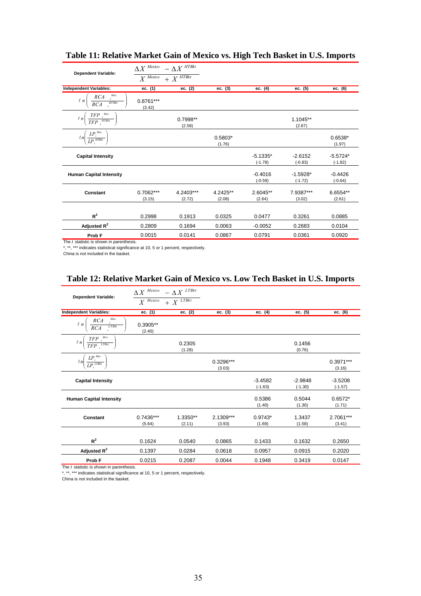| <b>Dependent Variable:</b>                                           | $\Delta X$ Mexico $-\Delta X$ HTBkt<br>$\overline{X^{Mexico}}$ | $+ X^{H T B k t}$   |                     |                         |                         |                         |
|----------------------------------------------------------------------|----------------------------------------------------------------|---------------------|---------------------|-------------------------|-------------------------|-------------------------|
| <b>Independent Variables:</b>                                        | ec. (1)                                                        | ec. (2)             | ec. (3)             | ec. (4)                 | ec. (5)                 | ec. (6)                 |
| $\frac{RCA}{RCA} \frac{Mex}{HTBkt}$<br>$\ell n$                      | $0.8761***$<br>(3.42)                                          |                     |                     |                         |                         |                         |
| $\ell n \left( \frac{TFP_i^{Max}}{TFP_i^{HTBkt}} \right)$            |                                                                | 0.7998**<br>(2.58)  |                     |                         | 1.1045**<br>(2.67)      |                         |
| $\ell n\left(\frac{LP_i^{\text{ Max}}}{LP_i^{\text{ HIBkt}}}\right)$ |                                                                |                     | $0.5803*$<br>(1.76) |                         |                         | $0.6538*$<br>(1.97)     |
| <b>Capital Intensity</b>                                             |                                                                |                     |                     | $-5.1335*$<br>$(-1.78)$ | $-2.6152$<br>$(-0.83)$  | $-5.5724*$<br>$(-1.82)$ |
| <b>Human Capital Intensity</b>                                       |                                                                |                     |                     | $-0.4016$<br>$(-0.59)$  | $-1.5928*$<br>$(-1.72)$ | $-0.4426$<br>$(-0.64)$  |
| <b>Constant</b>                                                      | $0.7062***$<br>(3.15)                                          | 4.2403***<br>(2.72) | 4.2425**<br>(2.08)  | 2.6045**<br>(2.64)      | 7.9387***<br>(3.02)     | 6.6554**<br>(2.61)      |
| $R^2$                                                                | 0.2998                                                         | 0.1913              | 0.0325              | 0.0477                  | 0.3261                  | 0.0885                  |
| Adjusted R <sup>2</sup>                                              | 0.2809                                                         | 0.1694              | 0.0063              | $-0.0052$               | 0.2683                  | 0.0104                  |
| Prob F                                                               | 0.0015                                                         | 0.0141              | 0.0867              | 0.0791                  | 0.0361                  | 0.0920                  |

### **Table 11: Relative Market Gain of Mexico vs. High Tech Basket in U.S. Imports**

The *t* statistic is shown in parenthesis.

\*, \*\*, \*\*\* indicates statistical significance at 10, 5 or 1 percent, respectively.

China is not included in the basket.

### **Table 12: Relative Market Gain of Mexico vs. Low Tech Basket in U.S. Imports**

| <b>Dependent Variable:</b>                                                                                |                       | $\Delta X$ <sup>Mexico</sup> $-\Delta X$ <sup>LTBkt</sup><br>$X^{Mexico} + X^{LTBkt}$ |                       |                        |                        |                        |
|-----------------------------------------------------------------------------------------------------------|-----------------------|---------------------------------------------------------------------------------------|-----------------------|------------------------|------------------------|------------------------|
| <b>Independent Variables:</b>                                                                             | ec. $(1)$             | ec. $(2)$                                                                             | $ec.$ (3)             | ec. (4)                | ec. (5)                | ec. (6)                |
| $\ell~n\left(\begin{array}{cc} RCA & \frac{Mex}{i} \\ \frac{RCA}{k} & \frac{LTBkt}{i} \end{array}\right)$ | $0.3905**$<br>(2.40)  |                                                                                       |                       |                        |                        |                        |
| $\ell n \left( \frac{TFP_i^{Max}}{TFP_i^{LTBkt}} \right)$                                                 |                       | 0.2305<br>(1.28)                                                                      |                       |                        | 0.1456<br>(0.76)       |                        |
| $\ell n\Bigg(\frac{L P_{i}^{\phantom{i}M\!e\!x}}{L P_{i}^{\phantom{i}L T B k t}}\Bigg)$                   |                       |                                                                                       | 0.3296***<br>(3.03)   |                        |                        | $0.3971***$<br>(3.16)  |
| <b>Capital Intensity</b>                                                                                  |                       |                                                                                       |                       | $-3.4582$<br>$(-1.63)$ | $-2.9848$<br>$(-1.30)$ | $-3.5208$<br>$(-1.57)$ |
| <b>Human Capital Intensity</b>                                                                            |                       |                                                                                       |                       | 0.5386<br>(1.40)       | 0.5044<br>(1.30)       | $0.6572*$<br>(1.71)    |
| Constant                                                                                                  | $0.7436***$<br>(5.64) | $1.3350**$<br>(2.11)                                                                  | $2.1309***$<br>(3.93) | $0.9743*$<br>(1.69)    | 1.3437<br>(1.58)       | 2.7061***<br>(3.41)    |
|                                                                                                           |                       |                                                                                       |                       |                        |                        |                        |
| $R^2$                                                                                                     | 0.1624                | 0.0540                                                                                | 0.0865                | 0.1433                 | 0.1632                 | 0.2650                 |
| Adjusted $R^2$                                                                                            | 0.1397                | 0.0284                                                                                | 0.0618                | 0.0957                 | 0.0915                 | 0.2020                 |
| Prob F                                                                                                    | 0.0215                | 0.2087                                                                                | 0.0044                | 0.1948                 | 0.3419                 | 0.0147                 |

The *t* statistic is shown in parenthesis.

\*, \*\*, \*\*\* indicates statistical significance at 10, 5 or 1 percent, respectively.

China is not included in the basket.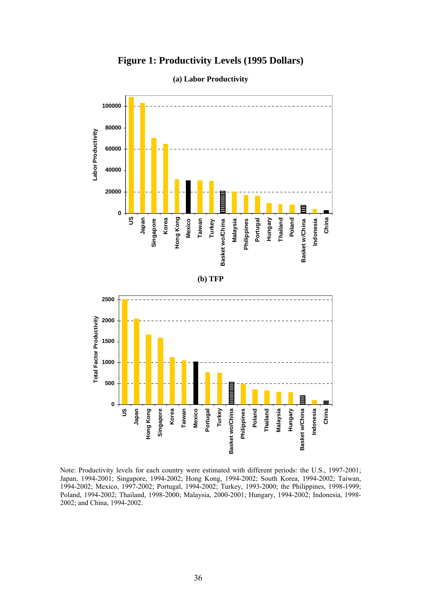**Figure 1: Productivity Levels (1995 Dollars)**



**(a) Labor Productivity** 

Note: Productivity levels for each country were estimated with different periods: the U.S., 1997-2001; Japan, 1994-2001; Singapore, 1994-2002; Hong Kong, 1994-2002; South Korea, 1994-2002; Taiwan, 1994-2002; Mexico, 1997-2002; Portugal, 1994-2002; Turkey, 1993-2000; the Philippines, 1998-1999; Poland, 1994-2002; Thailand, 1998-2000; Malaysia, 2000-2001; Hungary, 1994-2002; Indonesia, 1998- 2002; and China, 1994-2002.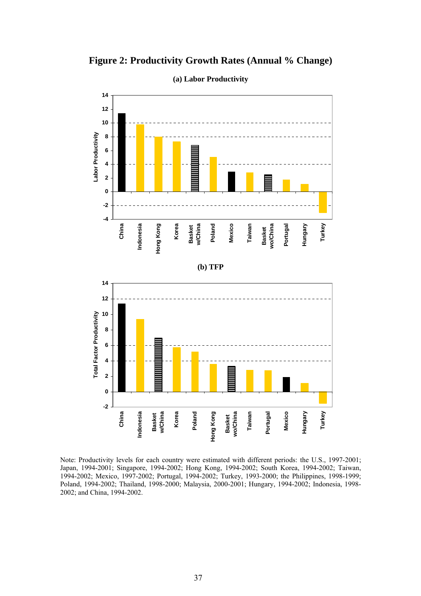**Figure 2: Productivity Growth Rates (Annual % Change)**



**(a) Labor Productivity** 

Note: Productivity levels for each country were estimated with different periods: the U.S., 1997-2001; Japan, 1994-2001; Singapore, 1994-2002; Hong Kong, 1994-2002; South Korea, 1994-2002; Taiwan, 1994-2002; Mexico, 1997-2002; Portugal, 1994-2002; Turkey, 1993-2000; the Philippines, 1998-1999; Poland, 1994-2002; Thailand, 1998-2000; Malaysia, 2000-2001; Hungary, 1994-2002; Indonesia, 1998- 2002; and China, 1994-2002.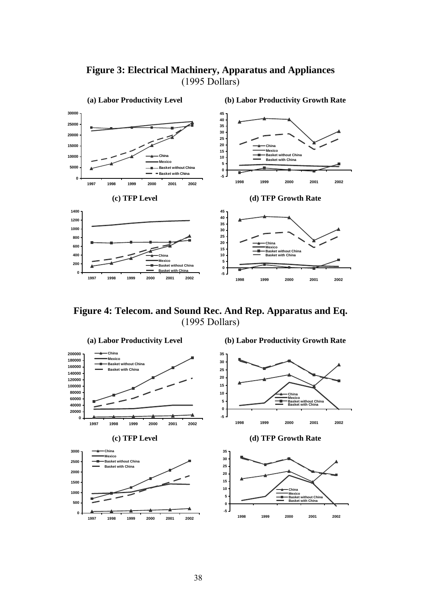



**Figure 4: Telecom. and Sound Rec. And Rep. Apparatus and Eq.**  (1995 Dollars)

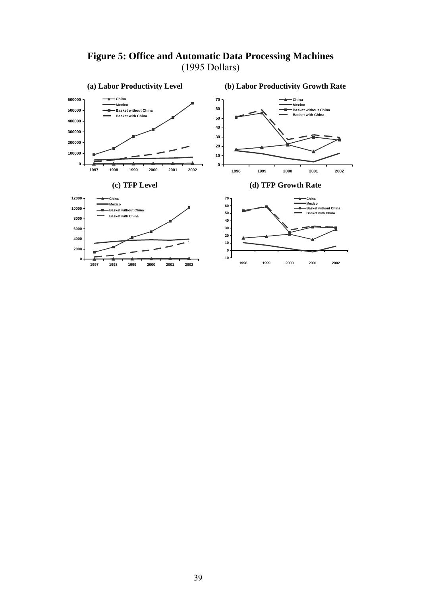

**Figure 5: Office and Automatic Data Processing Machines**  (1995 Dollars)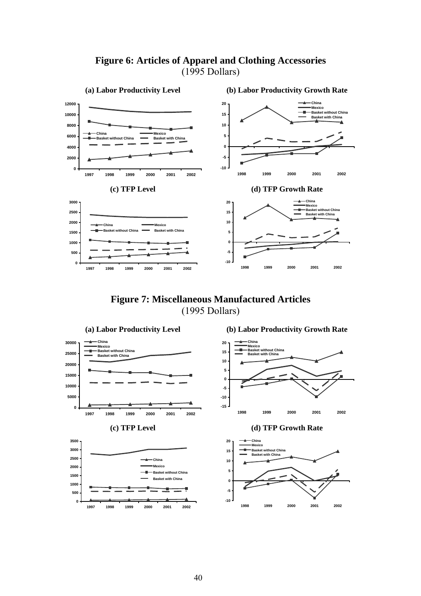



**Figure 7: Miscellaneous Manufactured Articles**  (1995 Dollars)

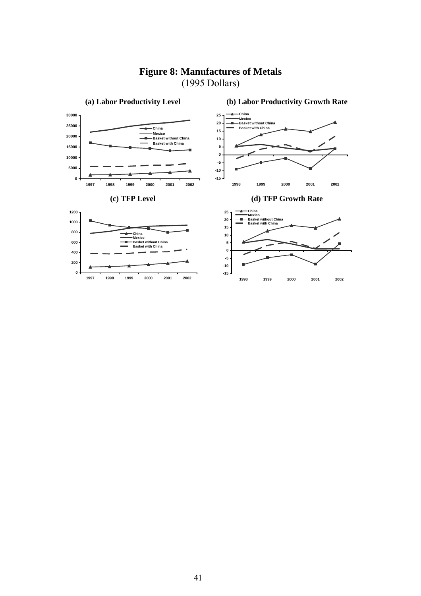

## **Figure 8: Manufactures of Metals**  (1995 Dollars)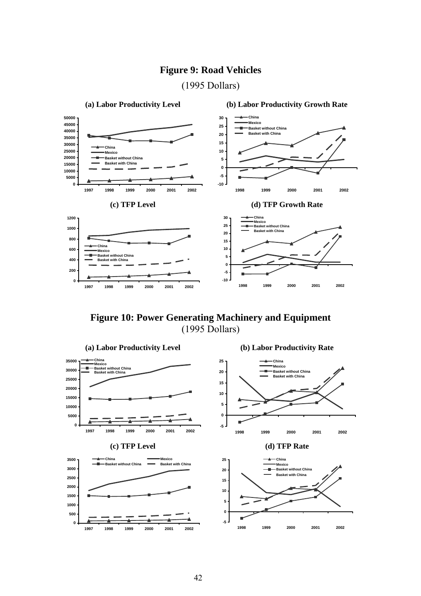## **Figure 9: Road Vehicles**

(1995 Dollars)





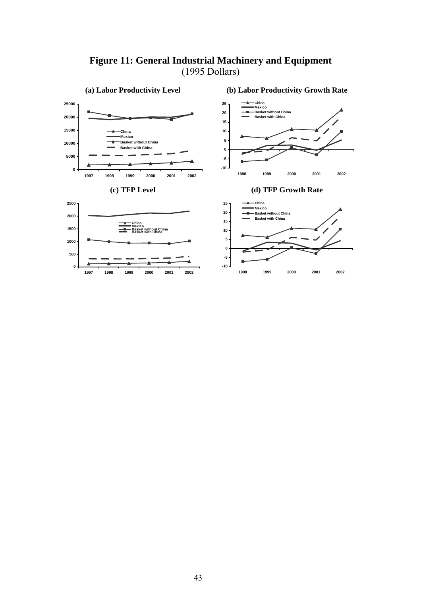

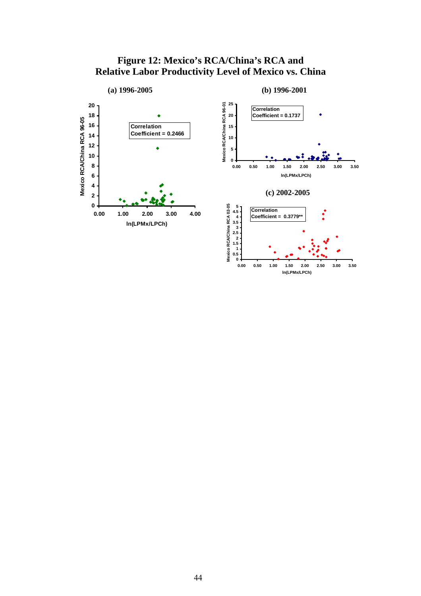## **Figure 12: Mexico's RCA/China's RCA and Relative Labor Productivity Level of Mexico vs. China**

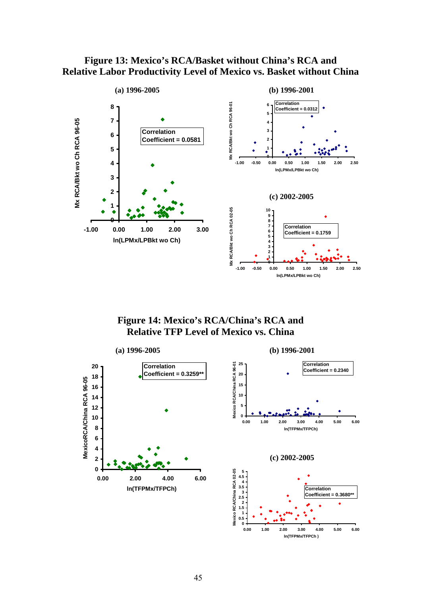



**Figure 14: Mexico's RCA/China's RCA and Relative TFP Level of Mexico vs. China** 

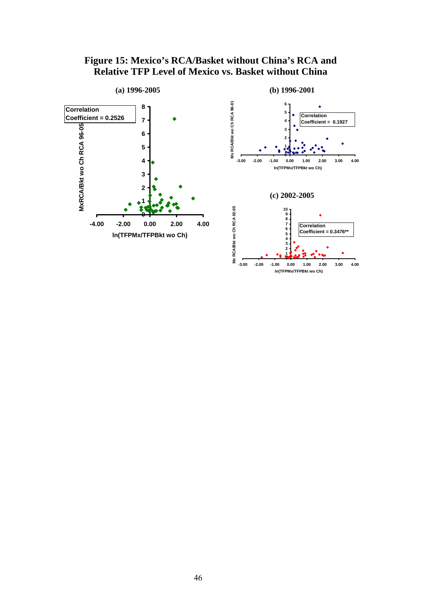

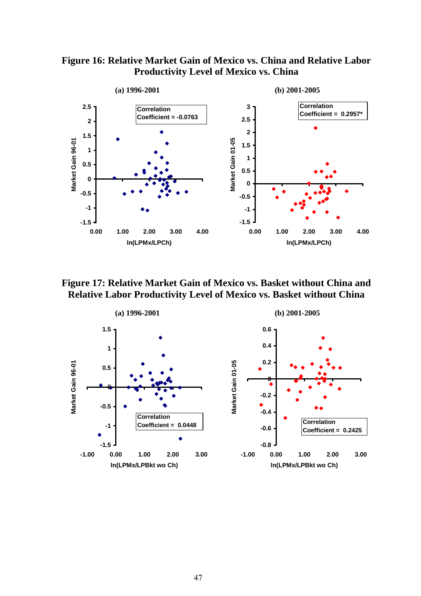## **Figure 16: Relative Market Gain of Mexico vs. China and Relative Labor Productivity Level of Mexico vs. China**



**Figure 17: Relative Market Gain of Mexico vs. Basket without China and Relative Labor Productivity Level of Mexico vs. Basket without China**